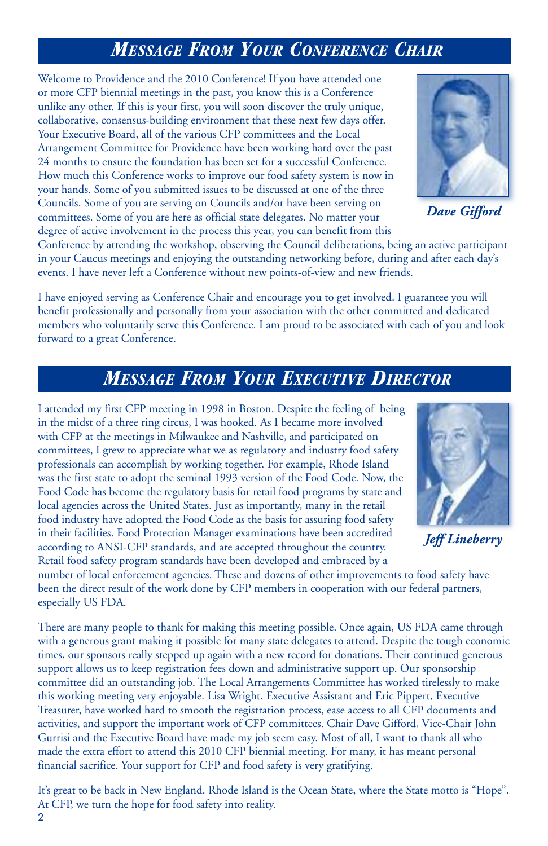## *MESSAGE FROM YOUR CONFERENCE CHAIR*

Welcome to Providence and the 2010 Conference! If you have attended one or more CFP biennial meetings in the past, you know this is a Conference unlike any other. If this is your first, you will soon discover the truly unique, collaborative, consensus-building environment that these next few days offer. Your Executive Board, all of the various CFP committees and the Local Arrangement Committee for Providence have been working hard over the past 24 months to ensure the foundation has been set for a successful Conference. How much this Conference works to improve our food safety system is now in your hands. Some of you submitted issues to be discussed at one of the three Councils. Some of you are serving on Councils and/or have been serving on committees. Some of you are here as official state delegates. No matter your degree of active involvement in the process this year, you can benefit from this

*Dave Gifford*

Conference by attending the workshop, observing the Council deliberations, being an active participant in your Caucus meetings and enjoying the outstanding networking before, during and after each day's events. I have never left a Conference without new points-of-view and new friends.

I have enjoyed serving as Conference Chair and encourage you to get involved. I guarantee you will benefit professionally and personally from your association with the other committed and dedicated members who voluntarily serve this Conference. I am proud to be associated with each of you and look forward to a great Conference.

## *MESSAGE FROM YOUR EXECUTIVE DIRECTOR*

I attended my first CFP meeting in 1998 in Boston. Despite the feeling of being in the midst of a three ring circus, I was hooked. As I became more involved with CFP at the meetings in Milwaukee and Nashville, and participated on committees, I grew to appreciate what we as regulatory and industry food safety professionals can accomplish by working together. For example, Rhode Island was the first state to adopt the seminal 1993 version of the Food Code. Now, the Food Code has become the regulatory basis for retail food programs by state and local agencies across the United States. Just as importantly, many in the retail food industry have adopted the Food Code as the basis for assuring food safety in their facilities. Food Protection Manager examinations have been accredited according to ANSI-CFP standards, and are accepted throughout the country. Retail food safety program standards have been developed and embraced by a



*Jeff Lineberry*

number of local enforcement agencies. These and dozens of other improvements to food safety have been the direct result of the work done by CFP members in cooperation with our federal partners, especially US FDA.

There are many people to thank for making this meeting possible. Once again, US FDA came through with a generous grant making it possible for many state delegates to attend. Despite the tough economic times, our sponsors really stepped up again with a new record for donations. Their continued generous support allows us to keep registration fees down and administrative support up. Our sponsorship committee did an outstanding job. The Local Arrangements Committee has worked tirelessly to make this working meeting very enjoyable. Lisa Wright, Executive Assistant and Eric Pippert, Executive Treasurer, have worked hard to smooth the registration process, ease access to all CFP documents and activities, and support the important work of CFP committees. Chair Dave Gifford, Vice-Chair John Gurrisi and the Executive Board have made my job seem easy. Most of all, I want to thank all who made the extra effort to attend this 2010 CFP biennial meeting. For many, it has meant personal financial sacrifice. Your support for CFP and food safety is very gratifying.

It's great to be back in New England. Rhode Island is the Ocean State, where the State motto is "Hope". At CFP, we turn the hope for food safety into reality.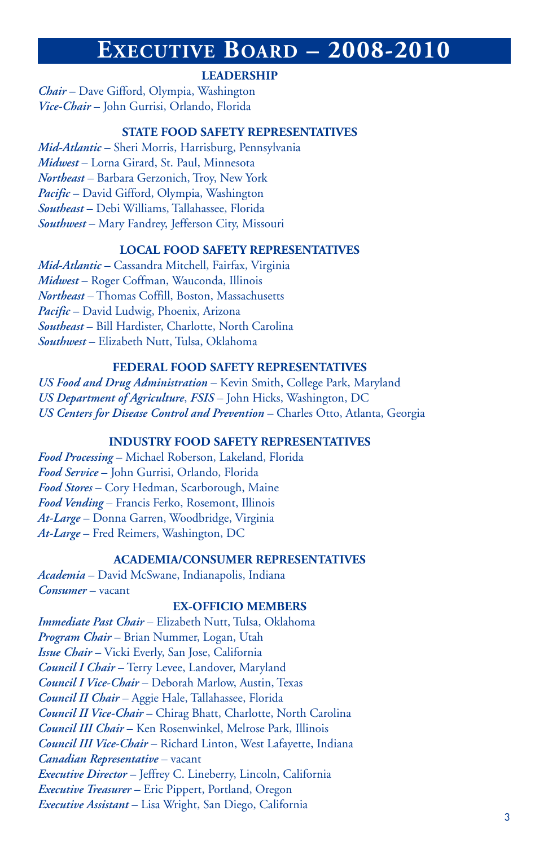## **EXECUTIVE BOARD – 2008-2010**

## **LEADERSHIP**

*Chair* – Dave Gifford, Olympia, Washington *Vice-Chair* – John Gurrisi, Orlando, Florida

### **STATE FOOD SAFETY REPRESENTATIVES**

*Mid-Atlantic* – Sheri Morris, Harrisburg, Pennsylvania *Midwest* – Lorna Girard, St. Paul, Minnesota *Northeast* – Barbara Gerzonich, Troy, New York *Pacific* – David Gifford, Olympia, Washington *Southeast* – Debi Williams, Tallahassee, Florida *Southwest* – Mary Fandrey, Jefferson City, Missouri

## **LOCAL FOOD SAFETY REPRESENTATIVES**

*Mid-Atlantic* – Cassandra Mitchell, Fairfax, Virginia *Midwest* – Roger Coffman, Wauconda, Illinois *Northeast* – Thomas Coffill, Boston, Massachusetts *Pacific* – David Ludwig, Phoenix, Arizona *Southeast* – Bill Hardister, Charlotte, North Carolina *Southwest* – Elizabeth Nutt, Tulsa, Oklahoma

### **FEDERAL FOOD SAFETY REPRESENTATIVES**

*US Food and Drug Administration* – Kevin Smith, College Park, Maryland *US Department of Agriculture*, *FSIS* – John Hicks, Washington, DC *US Centers for Disease Control and Prevention* – Charles Otto, Atlanta, Georgia

### **INDUSTRY FOOD SAFETY REPRESENTATIVES**

*Food Processing* – Michael Roberson, Lakeland, Florida *Food Service* – John Gurrisi, Orlando, Florida *Food Stores* – Cory Hedman, Scarborough, Maine *Food Vending* – Francis Ferko, Rosemont, Illinois *At-Large* – Donna Garren, Woodbridge, Virginia *At-Large* – Fred Reimers, Washington, DC

### **ACADEMIA/CONSUMER REPRESENTATIVES**

*Academia* – David McSwane, Indianapolis, Indiana *Consumer* – vacant

### **EX-OFFICIO MEMBERS**

*Immediate Past Chair* – Elizabeth Nutt, Tulsa, Oklahoma *Program Chair* – Brian Nummer, Logan, Utah *Issue Chair* – Vicki Everly, San Jose, California *Council I Chair* – Terry Levee, Landover, Maryland *Council I Vice-Chair* – Deborah Marlow, Austin, Texas *Council II Chair* – Aggie Hale, Tallahassee, Florida *Council II Vice-Chair* – Chirag Bhatt, Charlotte, North Carolina *Council III Chair* – Ken Rosenwinkel, Melrose Park, Illinois *Council III Vice-Chair* – Richard Linton, West Lafayette, Indiana *Canadian Representative* – vacant *Executive Director* – Jeffrey C. Lineberry, Lincoln, California *Executive Treasurer* – Eric Pippert, Portland, Oregon *Executive Assistant* – Lisa Wright, San Diego, California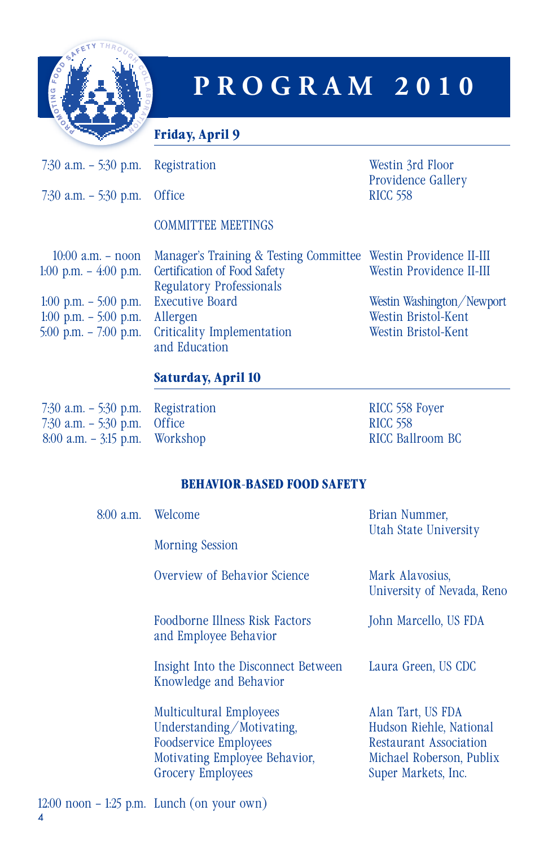

## **P R O G R A M 2 0 1 0**

Providence Gallery

## **Friday, April 9**

- 7:30 a.m. 5:30 p.m. Registration Westin 3rd Floor
- 7:30 a.m. 5:30 p.m. Office RICC 558

## COMMITTEE MEETINGS

10:00 a.m. – noon Manager's Training & Testing Committee Westin Providence II-III 1:00 p.m. – 4:00 p.m. Certification of Food Safety Westin Providence II-III Regulatory Professionals 1:00 p.m. – 5:00 p.m. Executive Board Westin Washington/Newport 1:00 p.m. – 5:00 p.m. Allergen Westin Bristol-Kent 5:00 p.m. – 7:00 p.m. Criticality Implementation Westin Bristol-Kent and Education

## **Saturday, April 10**

| $7:30$ a.m. $-5:30$ p.m. Registration | RICC 558 Foyer   |
|---------------------------------------|------------------|
| 7:30 a.m. $-$ 5:30 p.m. Office        | RICC 558         |
| $8:00$ a.m. $-3:15$ p.m. Workshop     | RICC Ballroom BC |

## **BEHAVIOR-BASED FOOD SAFETY**

| 8:00 a.m. Welcome<br><b>Morning Session</b>                                                                                                | Brian Nummer,<br>Utah State University                                                                                    |
|--------------------------------------------------------------------------------------------------------------------------------------------|---------------------------------------------------------------------------------------------------------------------------|
| Overview of Behavior Science                                                                                                               | Mark Alayosius,<br>University of Nevada, Reno                                                                             |
| Foodborne Illness Risk Factors<br>and Employee Behavior                                                                                    | John Marcello, US FDA                                                                                                     |
| Insight Into the Disconnect Between<br>Knowledge and Behavior                                                                              | Laura Green, US CDC                                                                                                       |
| Multicultural Employees<br>Understanding/Motivating,<br>Foodservice Employees<br>Motivating Employee Behavior,<br><b>Grocery Employees</b> | Alan Tart, US FDA<br>Hudson Riehle, National<br>Restaurant Association<br>Michael Roberson, Publix<br>Super Markets, Inc. |

12:00 noon – 1:25 p.m. Lunch (on your own)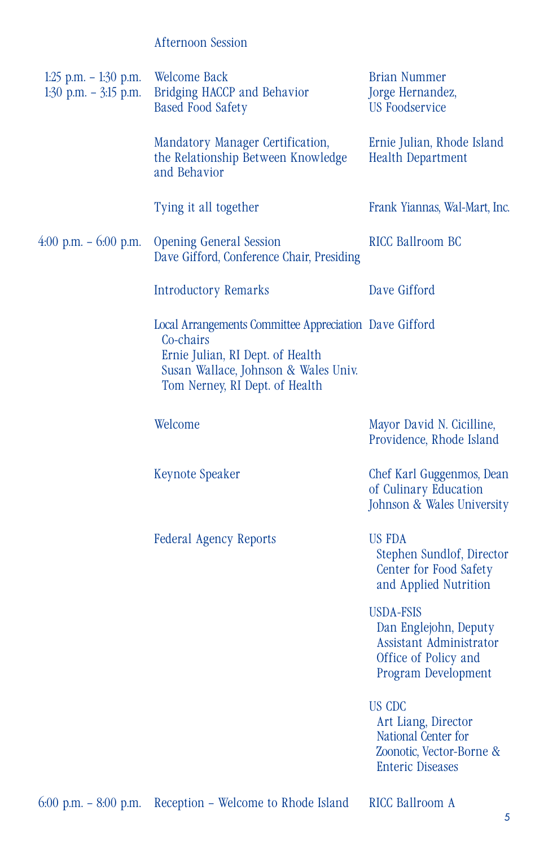## Afternoon Session

| $1:25$ p.m. $-1:30$ p.m.<br>1:30 p.m. $-3:15$ p.m. | Welcome Back<br>Bridging HACCP and Behavior<br><b>Based Food Safety</b>                                                                                                           | <b>Brian Nummer</b><br>Jorge Hernandez,<br><b>US Foodservice</b>                                                    |
|----------------------------------------------------|-----------------------------------------------------------------------------------------------------------------------------------------------------------------------------------|---------------------------------------------------------------------------------------------------------------------|
|                                                    | Mandatory Manager Certification,<br>the Relationship Between Knowledge<br>and Behavior                                                                                            | Ernie Julian, Rhode Island<br>Health Department                                                                     |
|                                                    | Tying it all together                                                                                                                                                             | Frank Yiannas, Wal-Mart, Inc.                                                                                       |
| 4:00 p.m. $-6:00$ p.m.                             | <b>Opening General Session</b><br>Dave Gifford, Conference Chair, Presiding                                                                                                       | RICC Ballroom BC                                                                                                    |
|                                                    | <b>Introductory Remarks</b>                                                                                                                                                       | Dave Gifford                                                                                                        |
|                                                    | Local Arrangements Committee Appreciation Dave Gifford<br>Co-chairs<br>Ernie Julian, RI Dept. of Health<br>Susan Wallace, Johnson & Wales Univ.<br>Tom Nerney, RI Dept. of Health |                                                                                                                     |
|                                                    | Welcome                                                                                                                                                                           | Mayor David N. Cicilline,<br>Providence, Rhode Island                                                               |
|                                                    | Keynote Speaker                                                                                                                                                                   | Chef Karl Guggenmos, Dean<br>of Culinary Education<br>Johnson & Wales University                                    |
|                                                    | <b>Federal Agency Reports</b>                                                                                                                                                     | US FDA<br>Stephen Sundlof, Director<br>Center for Food Safety<br>and Applied Nutrition                              |
|                                                    |                                                                                                                                                                                   | <b>USDA-FSIS</b><br>Dan Englejohn, Deputy<br>Assistant Administrator<br>Office of Policy and<br>Program Development |
|                                                    |                                                                                                                                                                                   | US CDC<br>Art Liang, Director<br>National Center for<br>Zoonotic, Vector-Borne &<br><b>Enteric Diseases</b>         |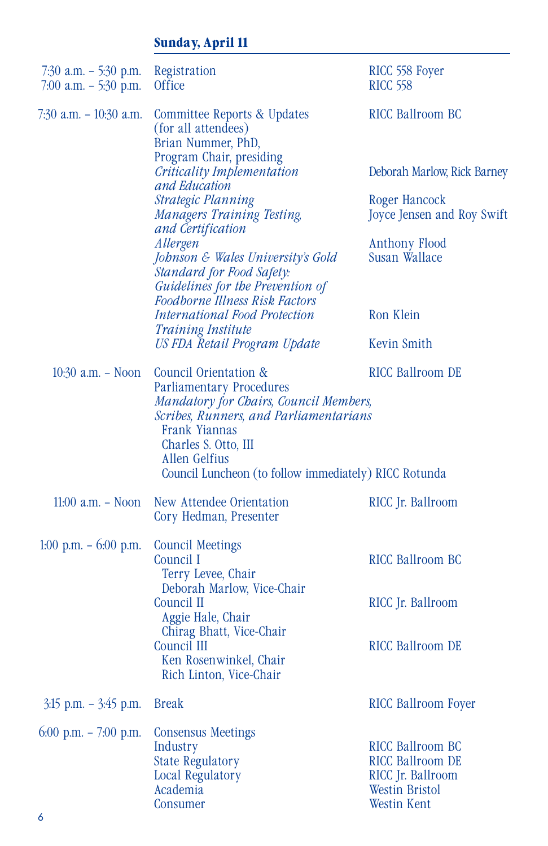## **Sunday, April 11**

| 7:30 a.m. $-$ 5:30 p.m.<br>7:00 a.m. $-$ 5:30 p.m. | Registration<br>Office                                                                                                                                                                              | RICC 558 Foyer<br><b>RICC 558</b>                                                                        |
|----------------------------------------------------|-----------------------------------------------------------------------------------------------------------------------------------------------------------------------------------------------------|----------------------------------------------------------------------------------------------------------|
| 7:30 a.m. - 10:30 a.m.                             | Committee Reports & Updates<br>(for all attendees)<br>Brian Nummer, PhD,                                                                                                                            | RICC Ballroom BC                                                                                         |
|                                                    | Program Chair, presiding<br>Criticality Implementation<br>and Education                                                                                                                             | Deborah Marlow, Rick Barney                                                                              |
|                                                    | Strategic Planning<br><b>Managers Training Testing,</b><br>and Certification                                                                                                                        | Roger Hancock<br>Joyce Jensen and Roy Swift                                                              |
|                                                    | <i>Allergen</i><br>Jobnson & Wales University's Gold<br>Standard for Food Safety:<br><i>Guidelines for the Prevention of</i><br>Foodborne Illness Risk Factors                                      | <b>Anthony Flood</b><br>Susan Wallace                                                                    |
|                                                    | <b>International Food Protection</b>                                                                                                                                                                | Ron Klein                                                                                                |
|                                                    | <b>Training Institute</b><br>US FDA Retail Program Update                                                                                                                                           | Kevin Smith                                                                                              |
| $10:30$ a.m. – Noon                                | Council Orientation &<br><b>Parliamentary Procedures</b>                                                                                                                                            | RICC Ballroom DE                                                                                         |
|                                                    | Mandatory for Chairs, Council Members,<br>Scribes, Runners, and Parliamentarians<br>Frank Yiannas<br>Charles S. Otto, III<br>Allen Gelfius<br>Council Luncheon (to follow immediately) RICC Rotunda |                                                                                                          |
| $11:00$ a.m. $-$ Noon                              | New Attendee Orientation<br>Cory Hedman, Presenter                                                                                                                                                  | RICC Jr. Ballroom                                                                                        |
| $1:00$ p.m. $-6:00$ p.m.                           | Council Meetings<br>Council I<br>Terry Levee, Chair                                                                                                                                                 | RICC Ballroom BC                                                                                         |
|                                                    | Deborah Marlow, Vice-Chair<br>Council II<br>Aggie Hale, Chair                                                                                                                                       | RICC Jr. Ballroom                                                                                        |
|                                                    | Chirag Bhatt, Vice-Chair<br>Council III<br>Ken Rosenwinkel, Chair<br>Rich Linton, Vice-Chair                                                                                                        | RICC Ballroom DE                                                                                         |
| $3:15$ p.m. $-3:45$ p.m.                           | <b>Break</b>                                                                                                                                                                                        | RICC Ballroom Foyer                                                                                      |
| $6:00$ p.m. $- 7:00$ p.m.                          | <b>Consensus Meetings</b><br>Industry<br><b>State Regulatory</b><br>Local Regulatory<br>Academia<br>Consumer                                                                                        | RICC Ballroom BC<br>RICC Ballroom DE<br>RICC Jr. Ballroom<br><b>Westin Bristol</b><br><b>Westin Kent</b> |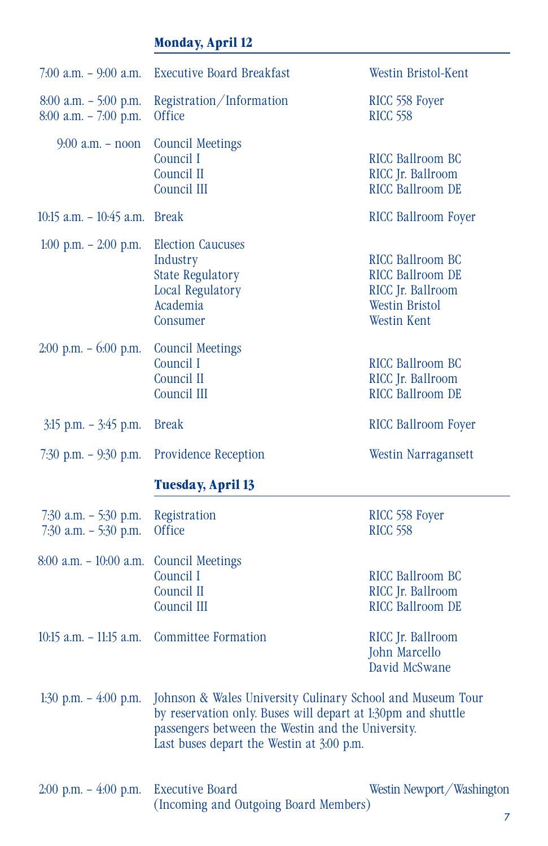## **Monday, April 12**

| 7:00 a.m. $-$ 9:00 a.m.                              | <b>Executive Board Breakfast</b>                                                                                                                                                                                             | Westin Bristol-Kent                                                                               |
|------------------------------------------------------|------------------------------------------------------------------------------------------------------------------------------------------------------------------------------------------------------------------------------|---------------------------------------------------------------------------------------------------|
| $8:00$ a.m. $-5:00$ p.m.<br>$8:00$ a.m. $-7:00$ p.m. | Registration/Information<br>Office                                                                                                                                                                                           | RICC 558 Foyer<br><b>RICC 558</b>                                                                 |
| $9:00$ a.m. - noon                                   | <b>Council Meetings</b><br>Council I<br>Council II<br>Council III                                                                                                                                                            | <b>RICC Ballroom BC</b><br>RICC Jr. Ballroom<br><b>RICC Ballroom DE</b>                           |
| 10:15 a.m. - 10:45 a.m. Break                        |                                                                                                                                                                                                                              | RICC Ballroom Foyer                                                                               |
| $1:00$ p.m. $-2:00$ p.m.                             | <b>Election Caucuses</b><br>Industry<br><b>State Regulatory</b><br>Local Regulatory<br>Academia<br>Consumer                                                                                                                  | RICC Ballroom BC<br>RICC Ballroom DE<br>RICC Jr. Ballroom<br>Westin Bristol<br><b>Westin Kent</b> |
| $2:00$ p.m. $-6:00$ p.m.                             | <b>Council Meetings</b><br>Council I<br>Council II<br>Council III                                                                                                                                                            | RICC Ballroom BC<br>RICC Jr. Ballroom<br>RICC Ballroom DE                                         |
| $3:15$ p.m. $-3:45$ p.m.                             | <b>Break</b>                                                                                                                                                                                                                 | RICC Ballroom Foyer                                                                               |
| 7:30 p.m. $-$ 9:30 p.m.                              | Providence Reception                                                                                                                                                                                                         | Westin Narragansett                                                                               |
|                                                      | <b>Tuesday, April 13</b>                                                                                                                                                                                                     |                                                                                                   |
| 7:30 a.m. $-$ 5:30 p.m.<br>7:30 a.m. $-$ 5:30 p.m.   | Registration<br><b>Office</b>                                                                                                                                                                                                | RICC 558 Foyer<br><b>RICC 558</b>                                                                 |
| 8:00 a.m. - 10:00 a.m.                               | <b>Council Meetings</b><br>Council I<br>Council II<br>Council III                                                                                                                                                            | RICC Ballroom BC<br>RICC Jr. Ballroom<br><b>RICC Ballroom DE</b>                                  |
| $10:15$ a.m. $-11:15$ a.m.                           | <b>Committee Formation</b>                                                                                                                                                                                                   | RICC Jr. Ballroom<br>John Marcello<br>David McSwane                                               |
| 1:30 p.m. $-4:00$ p.m.                               | Johnson & Wales University Culinary School and Museum Tour<br>by reservation only. Buses will depart at 1:30pm and shuttle<br>passengers between the Westin and the University.<br>Last buses depart the Westin at 3:00 p.m. |                                                                                                   |
| $2:00$ p.m. $-4:00$ p.m.                             | <b>Executive Board</b><br>(Incoming and Outgoing Board Members)                                                                                                                                                              | Westin Newport/Washington                                                                         |

7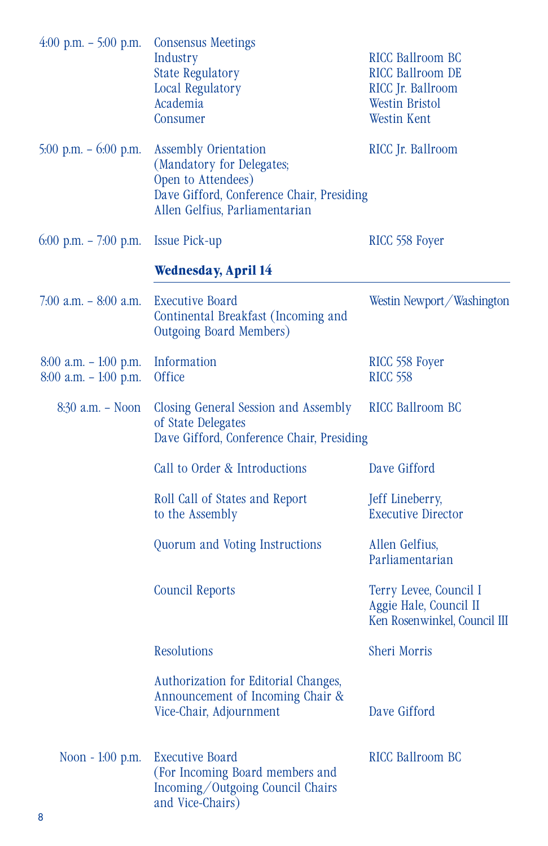| $4:00$ p.m. $-5:00$ p.m.                             | <b>Consensus Meetings</b><br>Industry<br><b>State Regulatory</b><br>Local Regulatory<br>Academia<br>Consumer                                                  | RICC Ballroom BC<br>RICC Ballroom DE<br>RICC Jr. Ballroom<br><b>Westin Bristol</b><br>Westin Kent |
|------------------------------------------------------|---------------------------------------------------------------------------------------------------------------------------------------------------------------|---------------------------------------------------------------------------------------------------|
| $5:00$ p.m. $-6:00$ p.m.                             | <b>Assembly Orientation</b><br>(Mandatory for Delegates;<br>Open to Attendees)<br>Dave Gifford, Conference Chair, Presiding<br>Allen Gelfius, Parliamentarian | RICC Jr. Ballroom                                                                                 |
| $6:00$ p.m. $- 7:00$ p.m.                            | <b>Issue Pick-up</b>                                                                                                                                          | RICC 558 Foyer                                                                                    |
|                                                      | <b>Wednesday, April 14</b>                                                                                                                                    |                                                                                                   |
| 7:00 a.m. $-$ 8:00 a.m.                              | <b>Executive Board</b><br>Continental Breakfast (Incoming and<br>Outgoing Board Members)                                                                      | Westin Newport/Washington                                                                         |
| $8:00$ a.m. $-1:00$ p.m.<br>$8:00$ a.m. $-1:00$ p.m. | Information<br>Office                                                                                                                                         | RICC 558 Foyer<br><b>RICC 558</b>                                                                 |
| $8:30$ a.m. – Noon                                   | RICC Ballroom BC<br>Closing General Session and Assembly<br>of State Delegates<br>Dave Gifford, Conference Chair, Presiding                                   |                                                                                                   |
|                                                      | Call to Order & Introductions                                                                                                                                 | Dave Gifford                                                                                      |
|                                                      | Roll Call of States and Report<br>to the Assembly                                                                                                             | Jeff Lineberry,<br><b>Executive Director</b>                                                      |
|                                                      | Quorum and Voting Instructions                                                                                                                                | Allen Gelfius,<br>Parliamentarian                                                                 |
|                                                      | <b>Council Reports</b>                                                                                                                                        | Terry Levee, Council I<br>Aggie Hale, Council II<br>Ken Rosenwinkel, Council III                  |
|                                                      | Resolutions                                                                                                                                                   | Sheri Morris                                                                                      |
|                                                      | Authorization for Editorial Changes,<br>Announcement of Incoming Chair &<br>Vice-Chair, Adjournment                                                           | Dave Gifford                                                                                      |
| Noon - 1:00 p.m.                                     | <b>Executive Board</b><br>(For Incoming Board members and<br>Incoming/Outgoing Council Chairs<br>and Vice-Chairs)                                             | RICC Ballroom BC                                                                                  |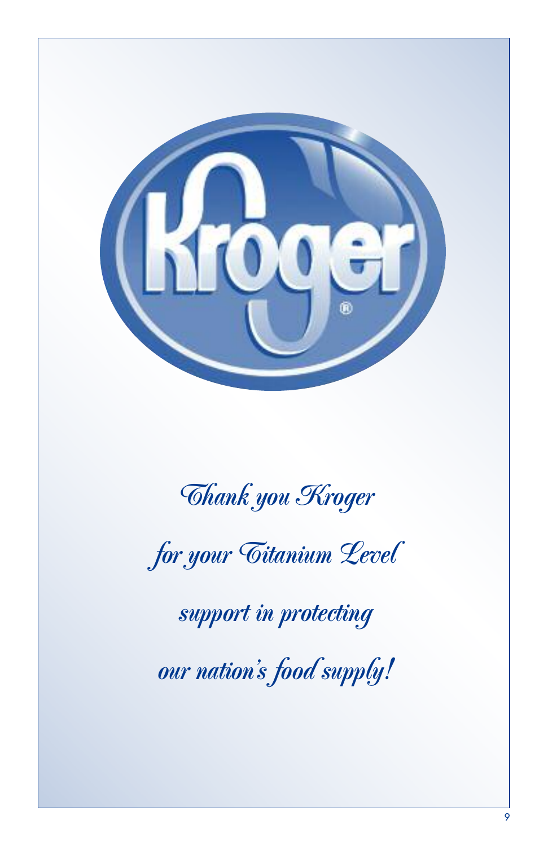

*Thank you Kroger*

*for your Titanium Level*

*support in protecting*

*our nation's food supply!*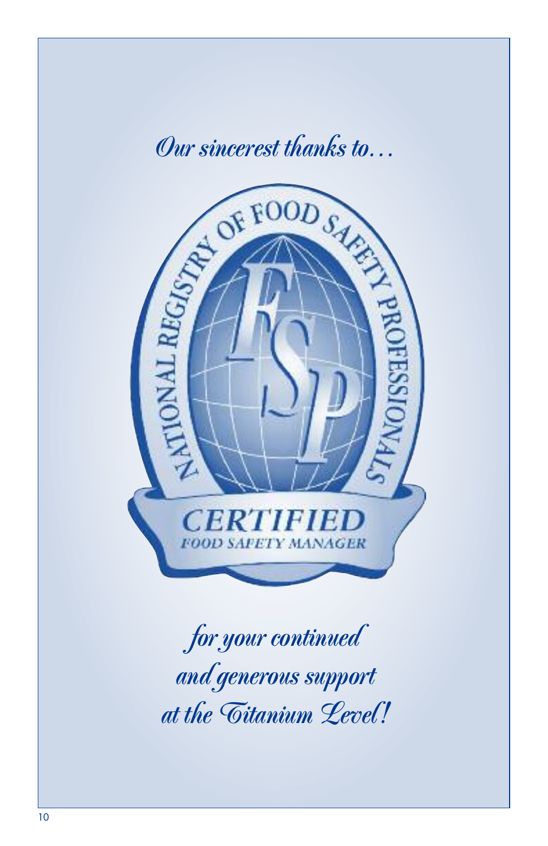



*for your continued and generous support at the Titanium Level!*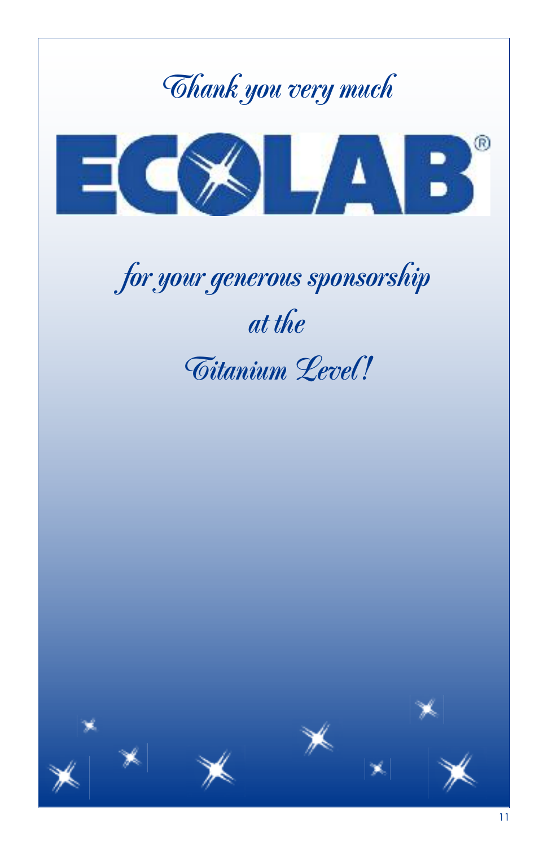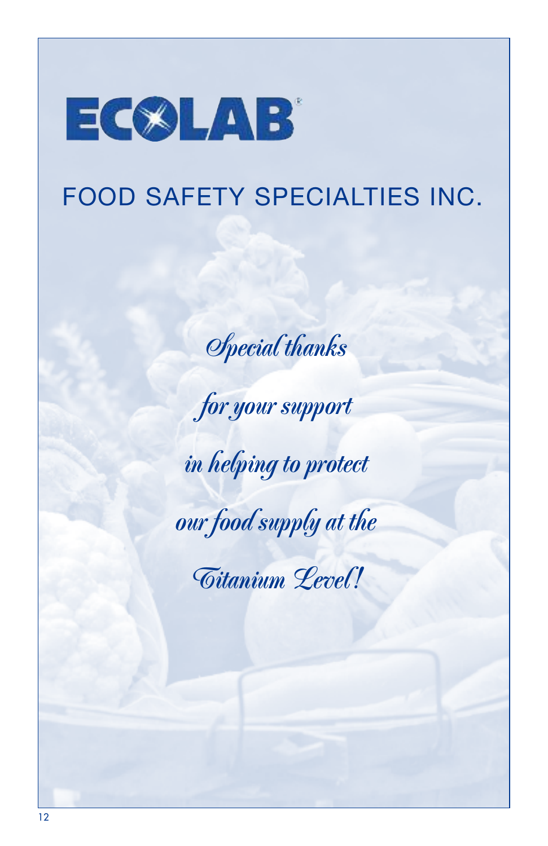

## FOOD SAFETY SPECIALTIES INC.

*Special thanks*

*for your support*

*in helping to protect*

*our food supply at the*

*Titanium Level!*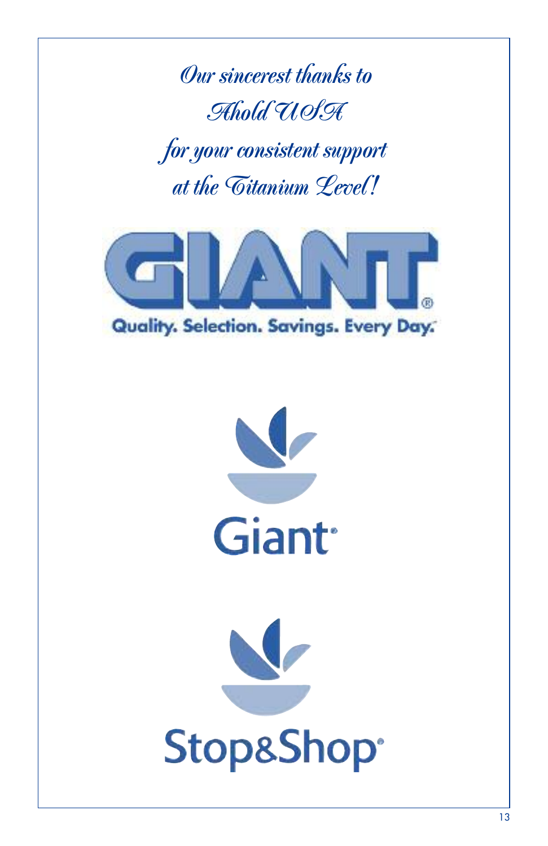*Our sincerest thanks to Ahold USA for your consistent support at the Titanium Level!*



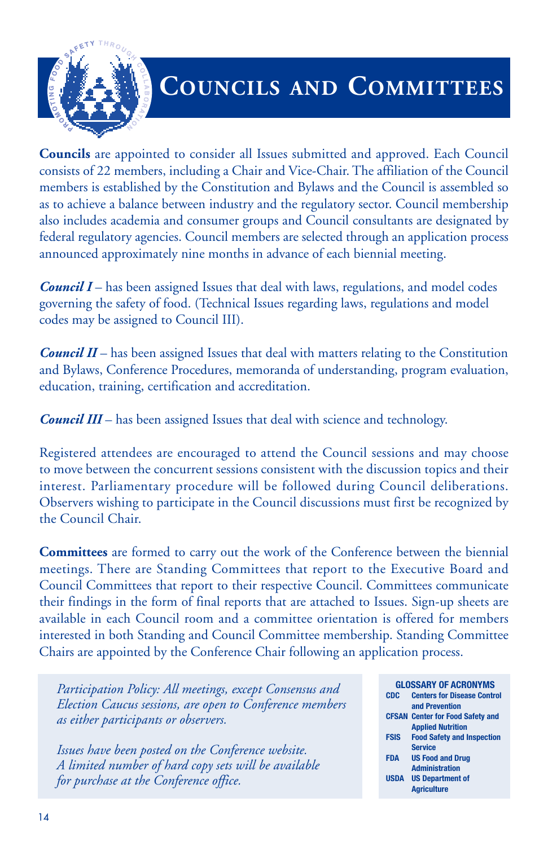

## **COUNCILS AND COMMITTEES**

**Councils** are appointed to consider all Issues submitted and approved. Each Council consists of 22 members, including a Chair and Vice-Chair. The affiliation of the Council members is established by the Constitution and Bylaws and the Council is assembled so as to achieve a balance between industry and the regulatory sector. Council membership also includes academia and consumer groups and Council consultants are designated by federal regulatory agencies. Council members are selected through an application process announced approximately nine months in advance of each biennial meeting.

*Council I* – has been assigned Issues that deal with laws, regulations, and model codes governing the safety of food. (Technical Issues regarding laws, regulations and model codes may be assigned to Council III).

*Council II* – has been assigned Issues that deal with matters relating to the Constitution and Bylaws, Conference Procedures, memoranda of understanding, program evaluation, education, training, certification and accreditation.

*Council III* – has been assigned Issues that deal with science and technology.

Registered attendees are encouraged to attend the Council sessions and may choose to move between the concurrent sessions consistent with the discussion topics and their interest. Parliamentary procedure will be followed during Council deliberations. Observers wishing to participate in the Council discussions must first be recognized by the Council Chair.

**Committees** are formed to carry out the work of the Conference between the biennial meetings. There are Standing Committees that report to the Executive Board and Council Committees that report to their respective Council. Committees communicate their findings in the form of final reports that are attached to Issues. Sign-up sheets are available in each Council room and a committee orientation is offered for members interested in both Standing and Council Committee membership. Standing Committee Chairs are appointed by the Conference Chair following an application process.

*Participation Policy: All meetings, except Consensus and Election Caucus sessions, are open to Conference members as either participants or observers.*

*Issues have been posted on the Conference website. A limited number of hard copy sets will be available for purchase at the Conference office.*

| <b>GLOSSARY OF ACRONYMS</b> |                                         |
|-----------------------------|-----------------------------------------|
| <b>CDC</b>                  | <b>Centers for Disease Control</b>      |
|                             | and Prevention                          |
|                             | <b>CFSAN Center for Food Safety and</b> |
|                             | <b>Applied Nutrition</b>                |
| <b>FSIS</b>                 | <b>Food Safety and Inspection</b>       |
|                             | <b>Service</b>                          |
| <b>FDA</b>                  | <b>US Food and Drug</b>                 |
|                             | <b>Administration</b>                   |
| <b>USDA</b>                 | <b>US Department of</b>                 |
|                             | <b>Agriculture</b>                      |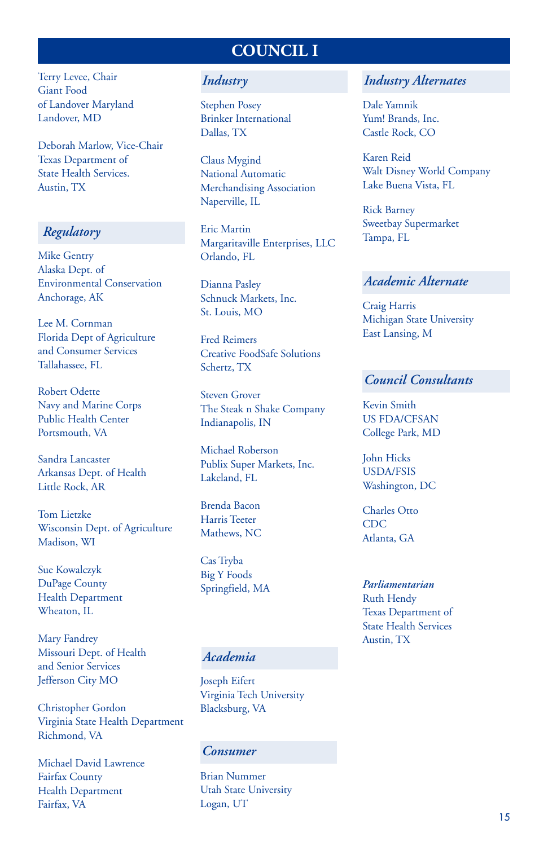## **COUNCIL I**

Terry Levee, Chair Giant Food of Landover Maryland Landover, MD

Deborah Marlow, Vice-Chair Texas Department of State Health Services. Austin, TX

## *Regulatory*

Mike Gentry Alaska Dept. of Environmental Conservation Anchorage, AK

Lee M. Cornman Florida Dept of Agriculture and Consumer Services Tallahassee, FL

Robert Odette Navy and Marine Corps Public Health Center Portsmouth, VA

Sandra Lancaster Arkansas Dept. of Health Little Rock, AR

Tom Lietzke Wisconsin Dept. of Agriculture Madison, WI

Sue Kowalczyk DuPage County Health Department Wheaton, IL

Mary Fandrey Missouri Dept. of Health and Senior Services Jefferson City MO

Christopher Gordon Virginia State Health Department Richmond, VA

Michael David Lawrence Fairfax County Health Department Fairfax, VA

Stephen Posey Brinker International Dallas, TX

Claus Mygind National Automatic Merchandising Association Naperville, IL

Eric Martin Margaritaville Enterprises, LLC Orlando, FL

Dianna Pasley Schnuck Markets, Inc. St. Louis, MO

Fred Reimers Creative FoodSafe Solutions Schertz, TX

Steven Grover The Steak n Shake Company Indianapolis, IN

Michael Roberson Publix Super Markets, Inc. Lakeland, FL

Brenda Bacon Harris Teeter Mathews, NC

Cas Tryba Big Y Foods Springfield, MA

## *Academia*

Joseph Eifert Virginia Tech University Blacksburg, VA

### *Consumer*

Brian Nummer Utah State University Logan, UT

## *Industry Industry Alternates*

Dale Yamnik Yum! Brands, Inc. Castle Rock, CO

Karen Reid Walt Disney World Company Lake Buena Vista, FL

Rick Barney Sweetbay Supermarket Tampa, FL

## *Academic Alternate*

Craig Harris Michigan State University East Lansing, M

## *Council Consultants*

Kevin Smith US FDA/CFSAN College Park, MD

John Hicks USDA/FSIS Washington, DC

Charles Otto CDC Atlanta, GA

## *Parliamentarian*

Ruth Hendy Texas Department of State Health Services Austin, TX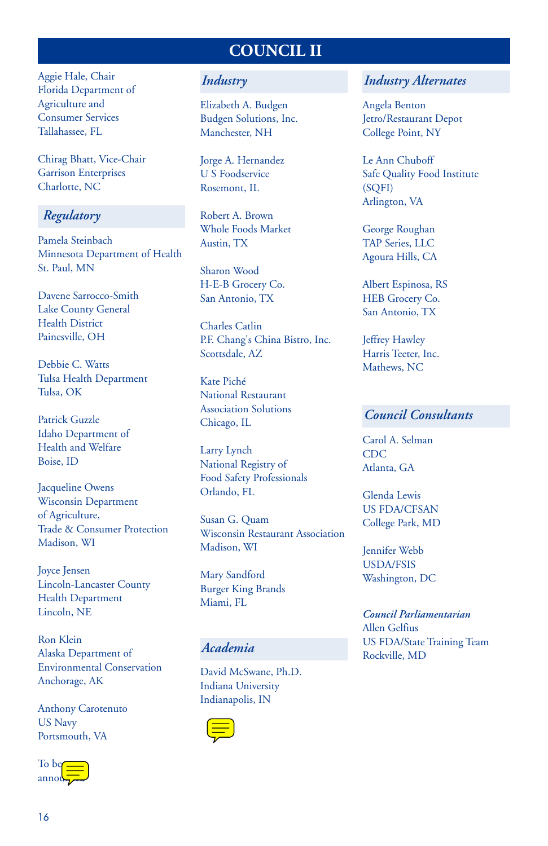## **COUNCIL II**

Aggie Hale, Chair Florida Department of Agriculture and Consumer Services Tallahassee, FL

Chirag Bhatt, Vice-Chair Garrison Enterprises Charlotte, NC

## *Regulatory*

Pamela Steinbach Minnesota Department of Health St. Paul, MN

Davene Sarrocco-Smith Lake County General Health District Painesville, OH

Debbie C. Watts Tulsa Health Department Tulsa, OK

Patrick Guzzle Idaho Department of Health and Welfare Boise, ID

Jacqueline Owens Wisconsin Department of Agriculture, Trade & Consumer Protection Madison, WI

Joyce Jensen Lincoln-Lancaster County Health Department Lincoln, NE

Ron Klein Alaska Department of Environmental Conservation Anchorage, AK

Anthony Carotenuto US Navy Portsmouth, VA



Elizabeth A. Budgen Budgen Solutions, Inc. Manchester, NH

Jorge A. Hernandez U S Foodservice Rosemont, IL

Robert A. Brown Whole Foods Market Austin, TX

Sharon Wood H-E-B Grocery Co. San Antonio, TX

Charles Catlin P.F. Chang's China Bistro, Inc. Scottsdale, AZ

Kate Piché National Restaurant Association Solutions Chicago, IL

Larry Lynch National Registry of Food Safety Professionals Orlando, FL

Susan G. Quam Wisconsin Restaurant Association Madison, WI

Mary Sandford Burger King Brands Miami, FL

## *Academia*

David McSwane, Ph.D. Indiana University Indianapolis, IN



## *Industry Industry Alternates*

Angela Benton Jetro/Restaurant Depot College Point, NY

Le Ann Chuboff Safe Quality Food Institute (SQFI) Arlington, VA

George Roughan TAP Series, LLC Agoura Hills, CA

Albert Espinosa, RS HEB Grocery Co. San Antonio, TX

Jeffrey Hawley Harris Teeter, Inc. Mathews, NC

## *Council Consultants*

Carol A. Selman CDC Atlanta, GA

Glenda Lewis US FDA/CFSAN College Park, MD

Jennifer Webb USDA/FSIS Washington, DC

*Council Parliamentarian* Allen Gelfius US FDA/State Training Team Rockville, MD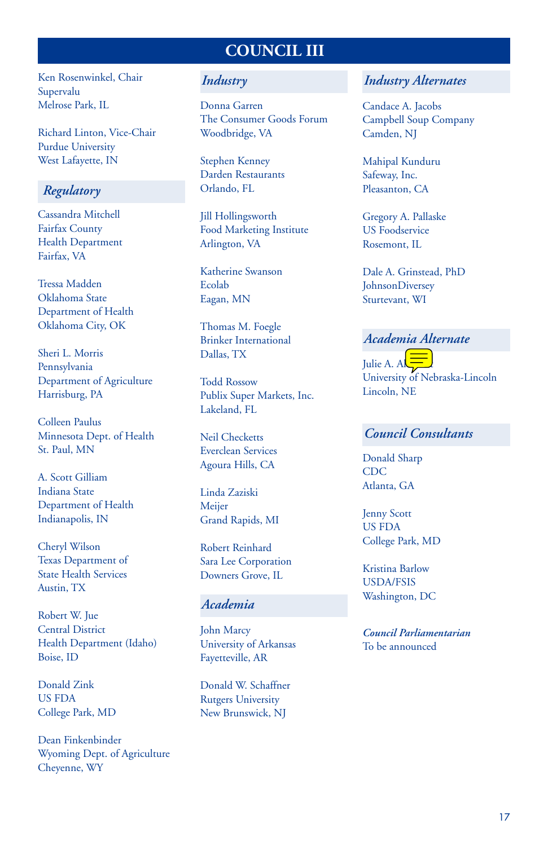## **COUNCIL III**

Ken Rosenwinkel, Chair Supervalu Melrose Park, IL

Richard Linton, Vice-Chair Purdue University West Lafayette, IN

## *Regulatory*

Cassandra Mitchell Fairfax County Health Department Fairfax, VA

Tressa Madden Oklahoma State Department of Health Oklahoma City, OK

Sheri L. Morris Pennsylvania Department of Agriculture Harrisburg, PA

Colleen Paulus Minnesota Dept. of Health St. Paul, MN

A. Scott Gilliam Indiana State Department of Health Indianapolis, IN

Cheryl Wilson Texas Department of State Health Services Austin, TX

Robert W. Jue Central District Health Department (Idaho) Boise, ID

Donald Zink US FDA College Park, MD

Dean Finkenbinder Wyoming Dept. of Agriculture Cheyenne, WY

Donna Garren The Consumer Goods Forum Woodbridge, VA

Stephen Kenney Darden Restaurants Orlando, FL

Jill Hollingsworth Food Marketing Institute Arlington, VA

Katherine Swanson Ecolab Eagan, MN

Thomas M. Foegle Brinker International Dallas, TX

Todd Rossow Publix Super Markets, Inc. Lakeland, FL

Neil Checketts Everclean Services Agoura Hills, CA

Linda Zaziski Meijer Grand Rapids, MI

Robert Reinhard Sara Lee Corporation Downers Grove, IL

## *Academia*

John Marcy University of Arkansas Fayetteville, AR

Donald W. Schaffner Rutgers University New Brunswick, NJ

## *Industry Industry Alternates*

Candace A. Jacobs Campbell Soup Company Camden, NJ

Mahipal Kunduru Safeway, Inc. Pleasanton, CA

Gregory A. Pallaske US Foodservice Rosemont, IL

Dale A. Grinstead, PhD JohnsonDiversey Sturtevant, WI

## *Academia Alternate*

Julie A. Al University of Nebraska-Lincoln Lincoln, NE

## *Council Consultants*

Donald Sharp CDC Atlanta, GA

Jenny Scott US FDA College Park, MD

Kristina Barlow USDA/FSIS Washington, DC

*Council Parliamentarian* To be announced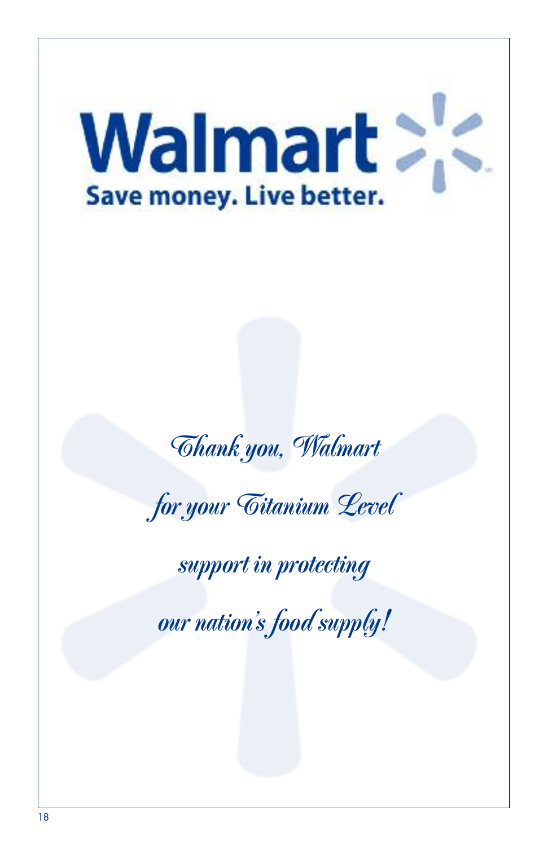## **Walmart:** Save money. Live better.

## *Thank you, Walmart*

*for your Titanium Level*

## *support in protecting*

*our nation's food supply!*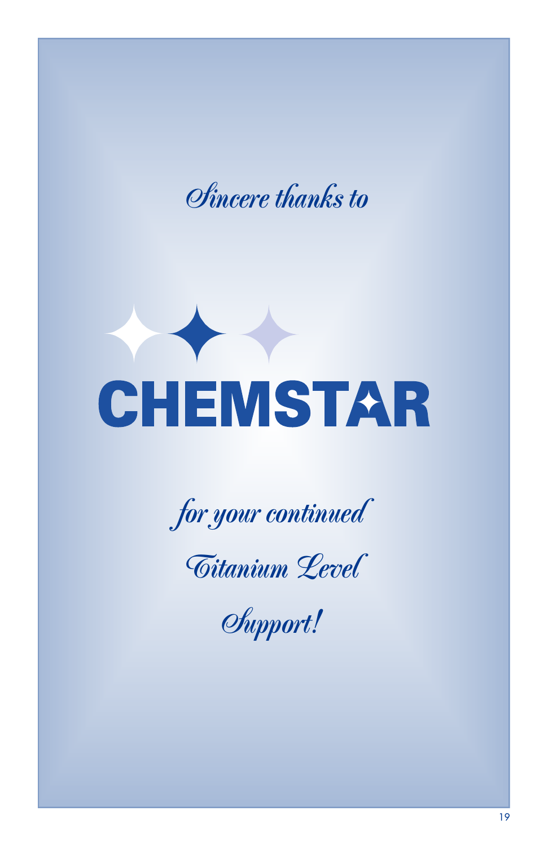*Sincere thanks to*

# **CHEMSTAR**

*for your continued*

*Titanium Level*

*Support!*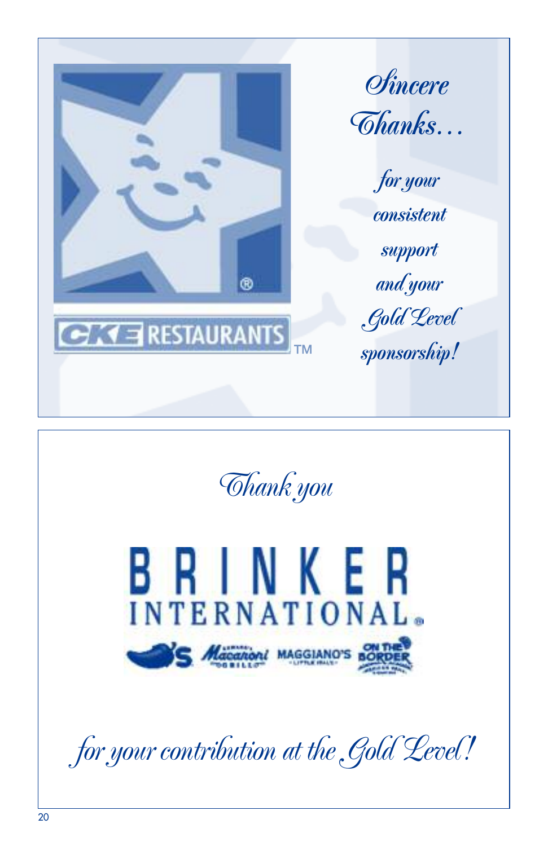

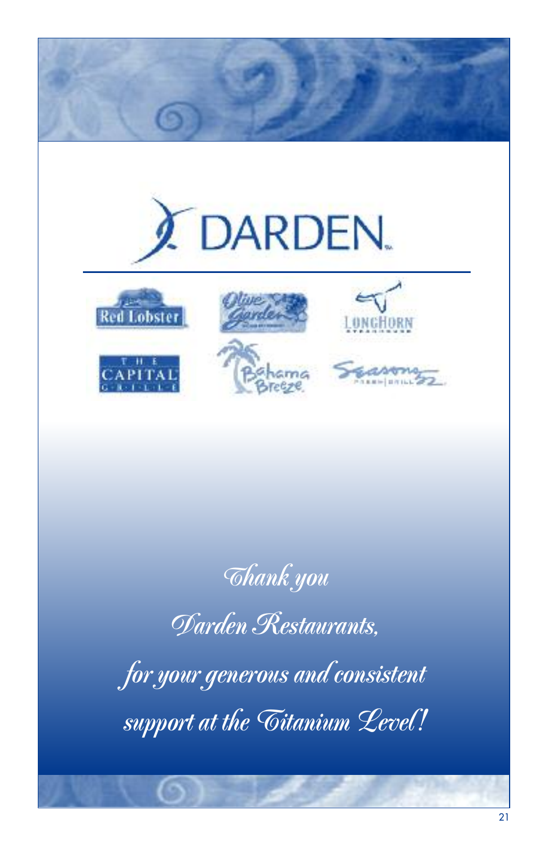

## *Thank you Darden Restaurants, for your generous and consistent support at the Titanium Level!*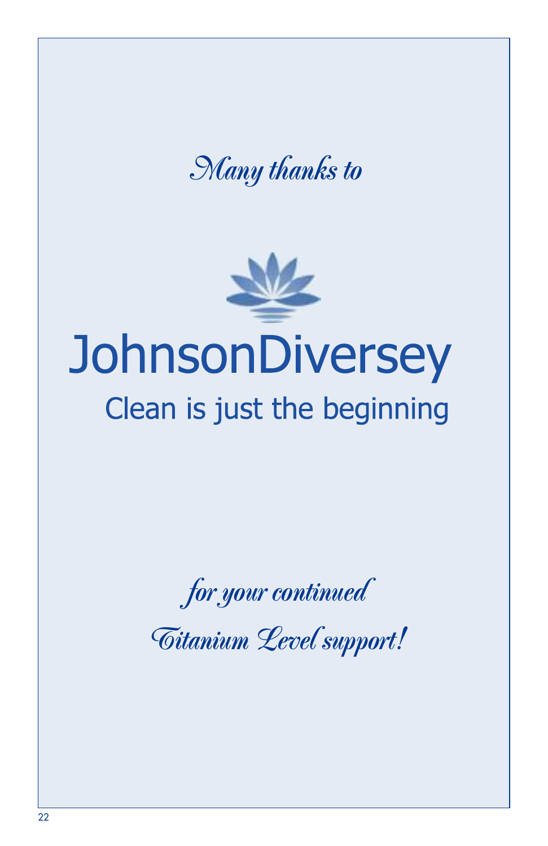*Many thanks to*



## **JohnsonDiversey** Clean is just the beginning

*for your continued*

*Titanium Level support!*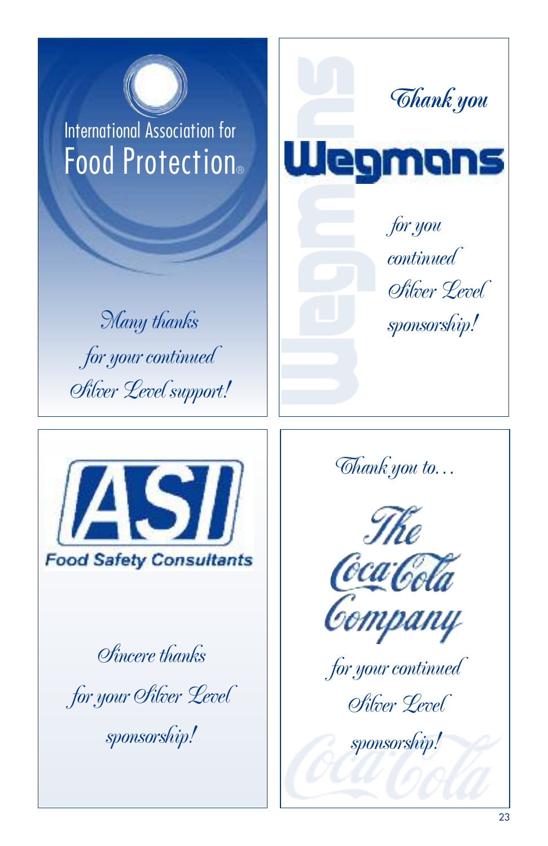

## International Association for Food Protection®

*Many thanks for your continued Silver Level support!*

*Thank you*

Wegmans

*for you continued Silver Level sponsorship!*





*Sincere thanks for your Silver Level sponsorship!*

*Thank you to…*



*for your continued*

*Silver Level*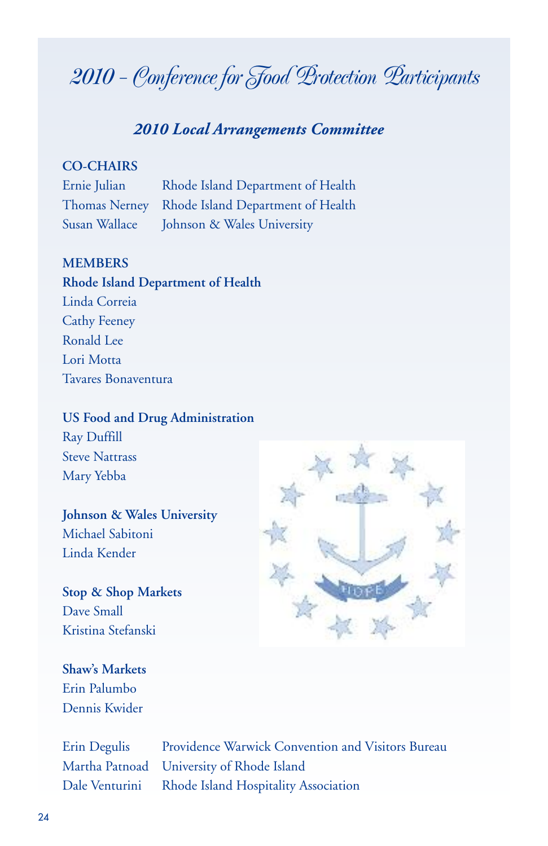## *2010 – Conference for Food Protection Participants*

## *2010 Local Arrangements Committee*

## **CO-CHAIRS**

Ernie Julian Rhode Island Department of Health Thomas Nerney Rhode Island Department of Health Susan Wallace Johnson & Wales University

## **MEMBERS**

**Rhode Island Department of Health** Linda Correia Cathy Feeney Ronald Lee Lori Motta Tavares Bonaventura

## **US Food and Drug Administration**

Ray Duffill Steve Nattrass Mary Yebba

**Johnson & Wales University** Michael Sabitoni Linda Kender

**Stop & Shop Markets** Dave Small Kristina Stefanski

**Shaw's Markets** Erin Palumbo Dennis Kwider



Erin Degulis Providence Warwick Convention and Visitors Bureau Martha Patnoad University of Rhode Island Dale Venturini Rhode Island Hospitality Association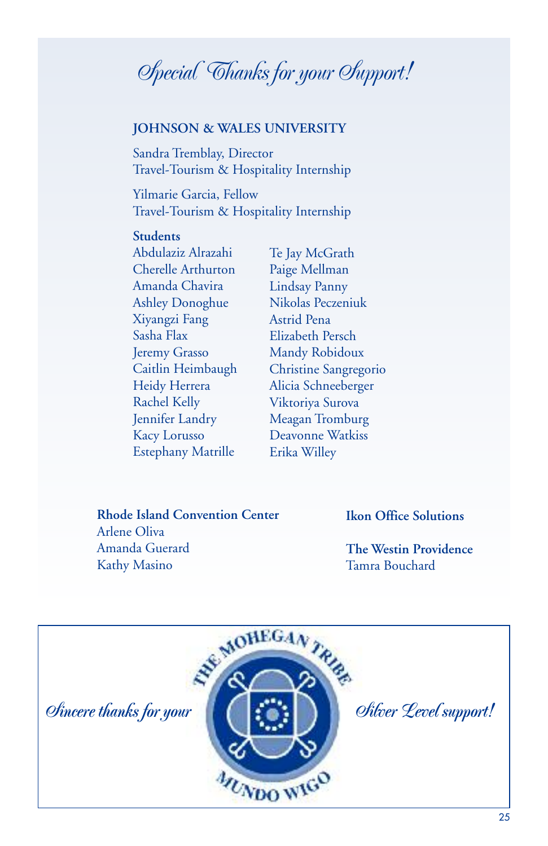*Special Thanks for your Support!*

## **JOHNSON & WALES UNIVERSITY**

Sandra Tremblay, Director Travel-Tourism & Hospitality Internship

Yilmarie Garcia, Fellow Travel-Tourism & Hospitality Internship

## **Students**

Abdulaziz Alrazahi Cherelle Arthurton Amanda Chavira Ashley Donoghue Xiyangzi Fang Sasha Flax Jeremy Grasso Caitlin Heimbaugh Heidy Herrera Rachel Kelly Jennifer Landry Kacy Lorusso Estephany Matrille

Te Jay McGrath Paige Mellman Lindsay Panny Nikolas Peczeniuk Astrid Pena Elizabeth Persch Mandy Robidoux Christine Sangregorio Alicia Schneeberger Viktoriya Surova Meagan Tromburg Deavonne Watkiss Erika Willey

**Rhode Island Convention Center** Arlene Oliva Amanda Guerard Kathy Masino

## **Ikon Office Solutions**

**The Westin Providence** Tamra Bouchard

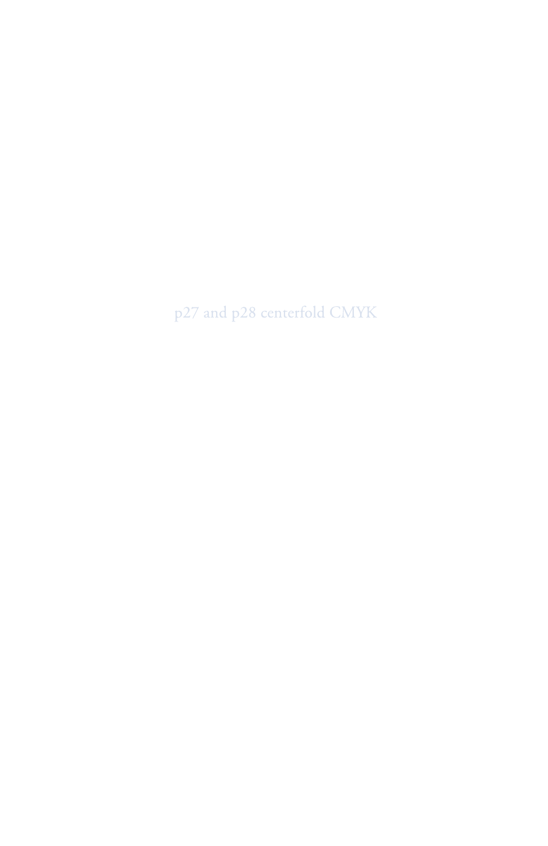p27 and p28 centerfold CMYK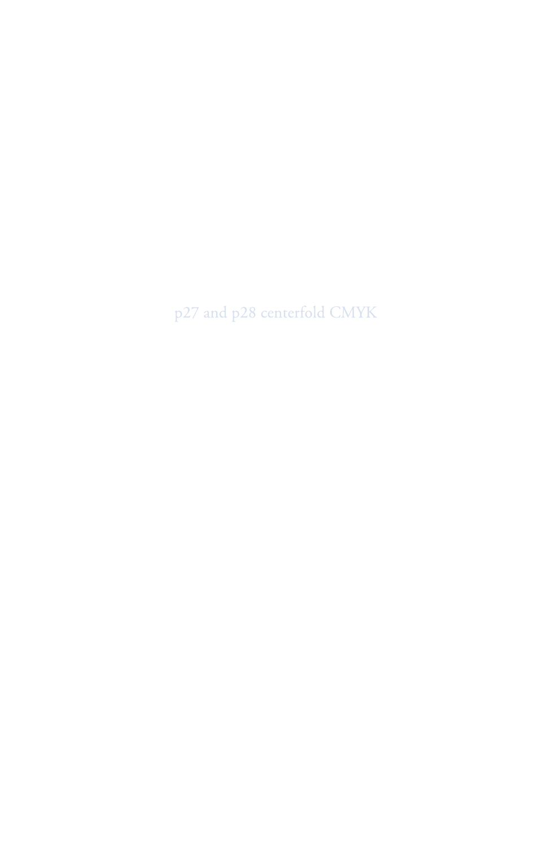p27 and p28 centerfold CMYK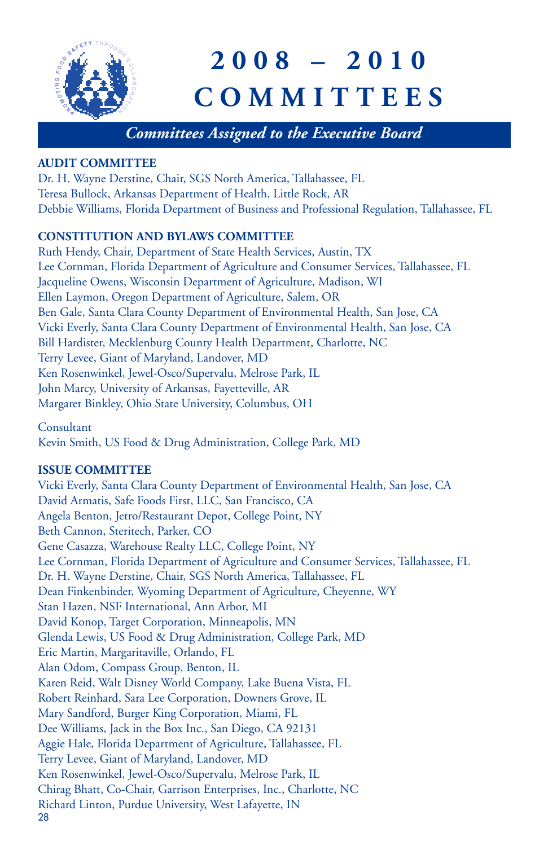

## **2 0 0 8 – 2 0 1 0 C O M M I T T E E S**

*Committees Assigned to the Executive Board*

## **AUDIT COMMITTEE**

Dr. H. Wayne Derstine, Chair, SGS North America, Tallahassee, FL Teresa Bullock, Arkansas Department of Health, Little Rock, AR Debbie Williams, Florida Department of Business and Professional Regulation, Tallahassee, FL

## **CONSTITUTION AND BYLAWS COMMITTEE**

Ruth Hendy, Chair, Department of State Health Services, Austin, TX Lee Cornman, Florida Department of Agriculture and Consumer Services, Tallahassee, FL Jacqueline Owens, Wisconsin Department of Agriculture, Madison, WI Ellen Laymon, Oregon Department of Agriculture, Salem, OR Ben Gale, Santa Clara County Department of Environmental Health, San Jose, CA Vicki Everly, Santa Clara County Department of Environmental Health, San Jose, CA Bill Hardister, Mecklenburg County Health Department, Charlotte, NC Terry Levee, Giant of Maryland, Landover, MD Ken Rosenwinkel, Jewel-Osco/Supervalu, Melrose Park, IL John Marcy, University of Arkansas, Fayetteville, AR Margaret Binkley, Ohio State University, Columbus, OH

Consultant Kevin Smith, US Food & Drug Administration, College Park, MD

## **ISSUE COMMITTEE**

28 Vicki Everly, Santa Clara County Department of Environmental Health, San Jose, CA David Armatis, Safe Foods First, LLC, San Francisco, CA Angela Benton, Jetro/Restaurant Depot, College Point, NY Beth Cannon, Steritech, Parker, CO Gene Casazza, Warehouse Realty LLC, College Point, NY Lee Cornman, Florida Department of Agriculture and Consumer Services, Tallahassee, FL Dr. H. Wayne Derstine, Chair, SGS North America, Tallahassee, FL Dean Finkenbinder, Wyoming Department of Agriculture, Cheyenne, WY Stan Hazen, NSF International, Ann Arbor, MI David Konop, Target Corporation, Minneapolis, MN Glenda Lewis, US Food & Drug Administration, College Park, MD Eric Martin, Margaritaville, Orlando, FL Alan Odom, Compass Group, Benton, IL Karen Reid, Walt Disney World Company, Lake Buena Vista, FL Robert Reinhard, Sara Lee Corporation, Downers Grove, IL Mary Sandford, Burger King Corporation, Miami, FL Dee Williams, Jack in the Box Inc., San Diego, CA 92131 Aggie Hale, Florida Department of Agriculture, Tallahassee, FL Terry Levee, Giant of Maryland, Landover, MD Ken Rosenwinkel, Jewel-Osco/Supervalu, Melrose Park, IL Chirag Bhatt, Co-Chair, Garrison Enterprises, Inc., Charlotte, NC Richard Linton, Purdue University, West Lafayette, IN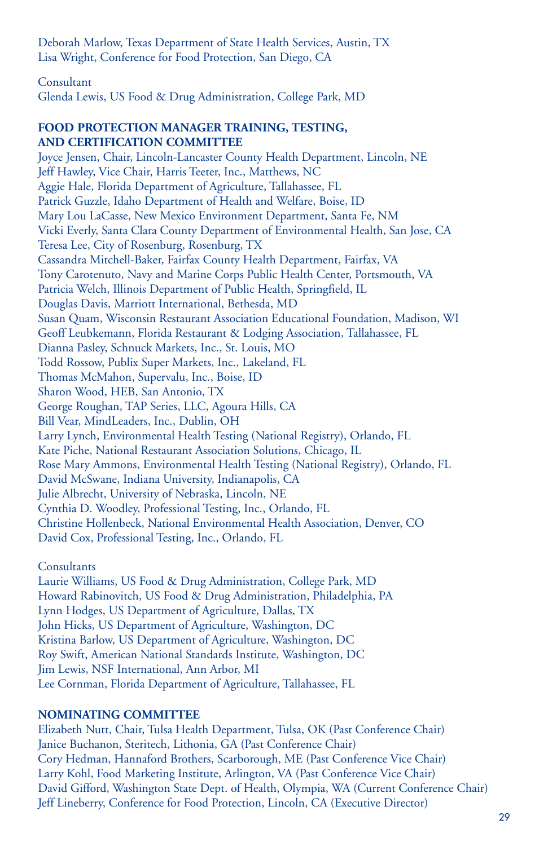Deborah Marlow, Texas Department of State Health Services, Austin, TX Lisa Wright, Conference for Food Protection, San Diego, CA

**Consultant** 

Glenda Lewis, US Food & Drug Administration, College Park, MD

## **FOOD PROTECTION MANAGER TRAINING, TESTING, AND CERTIFICATION COMMITTEE**

Joyce Jensen, Chair, Lincoln-Lancaster County Health Department, Lincoln, NE Jeff Hawley, Vice Chair, Harris Teeter, Inc., Matthews, NC Aggie Hale, Florida Department of Agriculture, Tallahassee, FL Patrick Guzzle, Idaho Department of Health and Welfare, Boise, ID Mary Lou LaCasse, New Mexico Environment Department, Santa Fe, NM Vicki Everly, Santa Clara County Department of Environmental Health, San Jose, CA Teresa Lee, City of Rosenburg, Rosenburg, TX Cassandra Mitchell-Baker, Fairfax County Health Department, Fairfax, VA Tony Carotenuto, Navy and Marine Corps Public Health Center, Portsmouth, VA Patricia Welch, Illinois Department of Public Health, Springfield, IL Douglas Davis, Marriott International, Bethesda, MD Susan Quam, Wisconsin Restaurant Association Educational Foundation, Madison, WI Geoff Leubkemann, Florida Restaurant & Lodging Association, Tallahassee, FL Dianna Pasley, Schnuck Markets, Inc., St. Louis, MO Todd Rossow, Publix Super Markets, Inc., Lakeland, FL Thomas McMahon, Supervalu, Inc., Boise, ID Sharon Wood, HEB, San Antonio, TX George Roughan, TAP Series, LLC, Agoura Hills, CA Bill Vear, MindLeaders, Inc., Dublin, OH Larry Lynch, Environmental Health Testing (National Registry), Orlando, FL Kate Piche, National Restaurant Association Solutions, Chicago, IL Rose Mary Ammons, Environmental Health Testing (National Registry), Orlando, FL David McSwane, Indiana University, Indianapolis, CA Julie Albrecht, University of Nebraska, Lincoln, NE Cynthia D. Woodley, Professional Testing, Inc., Orlando, FL Christine Hollenbeck, National Environmental Health Association, Denver, CO David Cox, Professional Testing, Inc., Orlando, FL

## **Consultants**

Laurie Williams, US Food & Drug Administration, College Park, MD Howard Rabinovitch, US Food & Drug Administration, Philadelphia, PA Lynn Hodges, US Department of Agriculture, Dallas, TX John Hicks, US Department of Agriculture, Washington, DC Kristina Barlow, US Department of Agriculture, Washington, DC Roy Swift, American National Standards Institute, Washington, DC Jim Lewis, NSF International, Ann Arbor, MI Lee Cornman, Florida Department of Agriculture, Tallahassee, FL

## **NOMINATING COMMITTEE**

Elizabeth Nutt, Chair, Tulsa Health Department, Tulsa, OK (Past Conference Chair) Janice Buchanon, Steritech, Lithonia, GA (Past Conference Chair) Cory Hedman, Hannaford Brothers, Scarborough, ME (Past Conference Vice Chair) Larry Kohl, Food Marketing Institute, Arlington, VA (Past Conference Vice Chair) David Gifford, Washington State Dept. of Health, Olympia, WA (Current Conference Chair) Jeff Lineberry, Conference for Food Protection, Lincoln, CA (Executive Director)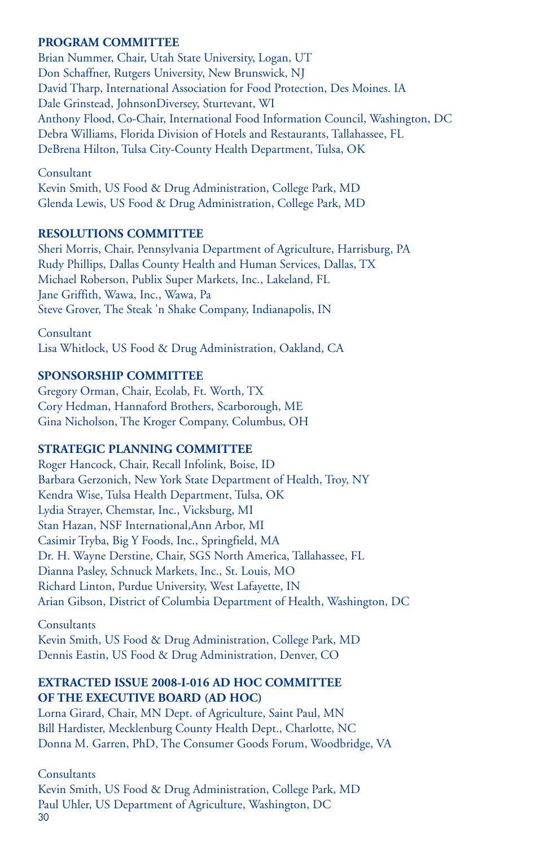## **PROGRAM COMMITTEE**

Brian Nummer, Chair, Utah State University, Logan, UT Don Schaffner, Rutgers University, New Brunswick, NJ David Tharp, International Association for Food Protection, Des Moines. IA Dale Grinstead, JohnsonDiversey, Sturtevant, WI Anthony Flood, Co-Chair, International Food Information Council, Washington, DC Debra Williams, Florida Division of Hotels and Restaurants, Tallahassee, FL DeBrena Hilton, Tulsa City-County Health Department, Tulsa, OK

Consultant Kevin Smith, US Food & Drug Administration, College Park, MD Glenda Lewis, US Food & Drug Administration, College Park, MD

## **RESOLUTIONS COMMITTEE**

Sheri Morris, Chair, Pennsylvania Department of Agriculture, Harrisburg, PA Rudy Phillips, Dallas County Health and Human Services, Dallas, TX Michael Roberson, Publix Super Markets, Inc., Lakeland, FL Jane Griffith, Wawa, Inc., Wawa, Pa Steve Grover, The Steak 'n Shake Company, Indianapolis, IN

Consultant Lisa Whitlock, US Food & Drug Administration, Oakland, CA

## **SPONSORSHIP COMMITTEE**

Gregory Orman, Chair, Ecolab, Ft. Worth, TX Cory Hedman, Hannaford Brothers, Scarborough, ME Gina Nicholson, The Kroger Company, Columbus, OH

## **STRATEGIC PLANNING COMMITTEE**

Roger Hancock, Chair, Recall Infolink, Boise, ID Barbara Gerzonich, New York State Department of Health, Troy, NY Kendra Wise, Tulsa Health Department, Tulsa, OK Lydia Strayer, Chemstar, Inc., Vicksburg, MI Stan Hazan, NSF International,Ann Arbor, MI Casimir Tryba, Big Y Foods, Inc., Springfield, MA Dr. H. Wayne Derstine, Chair, SGS North America, Tallahassee, FL Dianna Pasley, Schnuck Markets, Inc., St. Louis, MO Richard Linton, Purdue University, West Lafayette, IN Arian Gibson, District of Columbia Department of Health, Washington, DC

**Consultants** 

Kevin Smith, US Food & Drug Administration, College Park, MD Dennis Eastin, US Food & Drug Administration, Denver, CO

## **EXTRACTED ISSUE 2008-I-016 AD HOC COMMITTEE OF THE EXECUTIVE BOARD (AD HOC)**

Lorna Girard, Chair, MN Dept. of Agriculture, Saint Paul, MN Bill Hardister, Mecklenburg County Health Dept., Charlotte, NC Donna M. Garren, PhD, The Consumer Goods Forum, Woodbridge, VA

30 **Consultants** Kevin Smith, US Food & Drug Administration, College Park, MD Paul Uhler, US Department of Agriculture, Washington, DC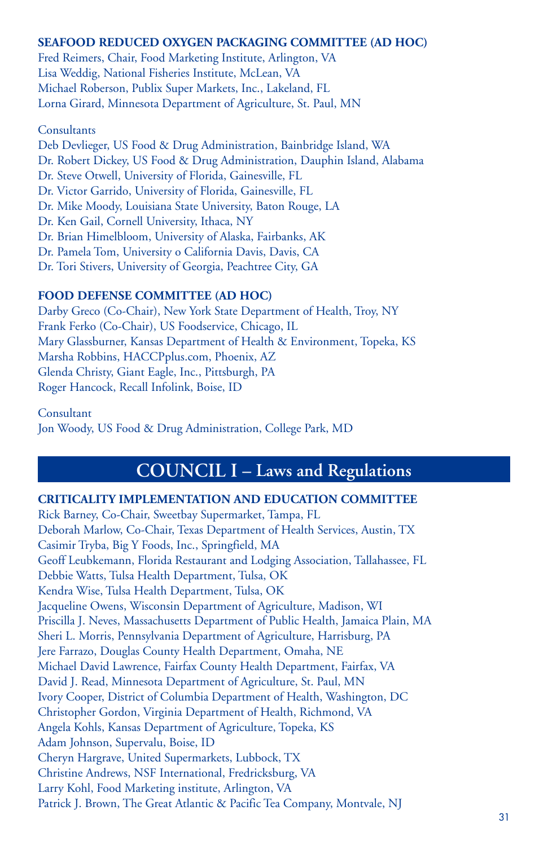## **SEAFOOD REDUCED OXYGEN PACKAGING COMMITTEE (AD HOC)**

Fred Reimers, Chair, Food Marketing Institute, Arlington, VA Lisa Weddig, National Fisheries Institute, McLean, VA Michael Roberson, Publix Super Markets, Inc., Lakeland, FL Lorna Girard, Minnesota Department of Agriculture, St. Paul, MN

### **Consultants**

Deb Devlieger, US Food & Drug Administration, Bainbridge Island, WA Dr. Robert Dickey, US Food & Drug Administration, Dauphin Island, Alabama Dr. Steve Otwell, University of Florida, Gainesville, FL Dr. Victor Garrido, University of Florida, Gainesville, FL Dr. Mike Moody, Louisiana State University, Baton Rouge, LA Dr. Ken Gail, Cornell University, Ithaca, NY Dr. Brian Himelbloom, University of Alaska, Fairbanks, AK Dr. Pamela Tom, University o California Davis, Davis, CA Dr. Tori Stivers, University of Georgia, Peachtree City, GA

## **FOOD DEFENSE COMMITTEE (AD HOC)**

Darby Greco (Co-Chair), New York State Department of Health, Troy, NY Frank Ferko (Co-Chair), US Foodservice, Chicago, IL Mary Glassburner, Kansas Department of Health & Environment, Topeka, KS Marsha Robbins, HACCPplus.com, Phoenix, AZ Glenda Christy, Giant Eagle, Inc., Pittsburgh, PA Roger Hancock, Recall Infolink, Boise, ID

Consultant Jon Woody, US Food & Drug Administration, College Park, MD

## **COUNCIL I – Laws and Regulations**

## **CRITICALITY IMPLEMENTATION AND EDUCATION COMMITTEE**

Rick Barney, Co-Chair, Sweetbay Supermarket, Tampa, FL Deborah Marlow, Co-Chair, Texas Department of Health Services, Austin, TX Casimir Tryba, Big Y Foods, Inc., Springfield, MA Geoff Leubkemann, Florida Restaurant and Lodging Association, Tallahassee, FL Debbie Watts, Tulsa Health Department, Tulsa, OK Kendra Wise, Tulsa Health Department, Tulsa, OK Jacqueline Owens, Wisconsin Department of Agriculture, Madison, WI Priscilla J. Neves, Massachusetts Department of Public Health, Jamaica Plain, MA Sheri L. Morris, Pennsylvania Department of Agriculture, Harrisburg, PA Jere Farrazo, Douglas County Health Department, Omaha, NE Michael David Lawrence, Fairfax County Health Department, Fairfax, VA David J. Read, Minnesota Department of Agriculture, St. Paul, MN Ivory Cooper, District of Columbia Department of Health, Washington, DC Christopher Gordon, Virginia Department of Health, Richmond, VA Angela Kohls, Kansas Department of Agriculture, Topeka, KS Adam Johnson, Supervalu, Boise, ID Cheryn Hargrave, United Supermarkets, Lubbock, TX Christine Andrews, NSF International, Fredricksburg, VA Larry Kohl, Food Marketing institute, Arlington, VA Patrick J. Brown, The Great Atlantic & Pacific Tea Company, Montvale, NJ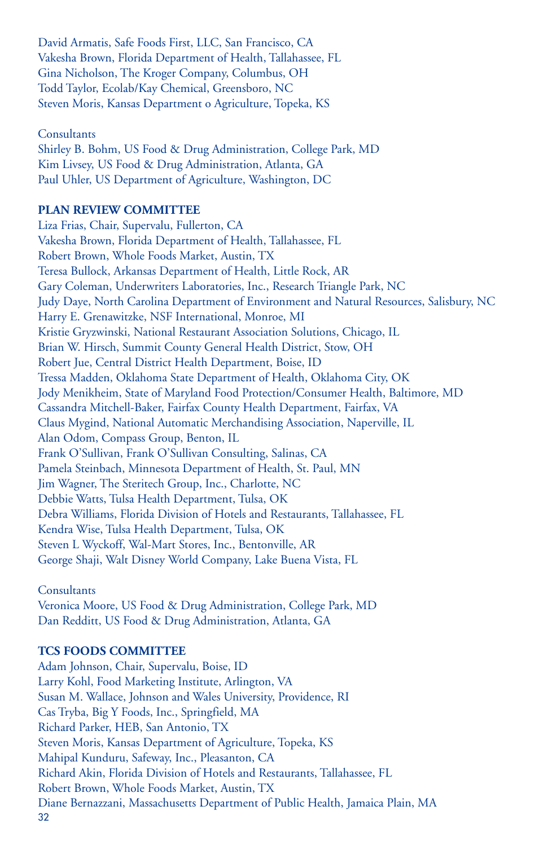David Armatis, Safe Foods First, LLC, San Francisco, CA Vakesha Brown, Florida Department of Health, Tallahassee, FL Gina Nicholson, The Kroger Company, Columbus, OH Todd Taylor, Ecolab/Kay Chemical, Greensboro, NC Steven Moris, Kansas Department o Agriculture, Topeka, KS

**Consultants** Shirley B. Bohm, US Food & Drug Administration, College Park, MD Kim Livsey, US Food & Drug Administration, Atlanta, GA Paul Uhler, US Department of Agriculture, Washington, DC

## **PLAN REVIEW COMMITTEE**

Liza Frias, Chair, Supervalu, Fullerton, CA Vakesha Brown, Florida Department of Health, Tallahassee, FL Robert Brown, Whole Foods Market, Austin, TX Teresa Bullock, Arkansas Department of Health, Little Rock, AR Gary Coleman, Underwriters Laboratories, Inc., Research Triangle Park, NC Judy Daye, North Carolina Department of Environment and Natural Resources, Salisbury, NC Harry E. Grenawitzke, NSF International, Monroe, MI Kristie Gryzwinski, National Restaurant Association Solutions, Chicago, IL Brian W. Hirsch, Summit County General Health District, Stow, OH Robert Jue, Central District Health Department, Boise, ID Tressa Madden, Oklahoma State Department of Health, Oklahoma City, OK Jody Menikheim, State of Maryland Food Protection/Consumer Health, Baltimore, MD Cassandra Mitchell-Baker, Fairfax County Health Department, Fairfax, VA Claus Mygind, National Automatic Merchandising Association, Naperville, IL Alan Odom, Compass Group, Benton, IL Frank O'Sullivan, Frank O'Sullivan Consulting, Salinas, CA Pamela Steinbach, Minnesota Department of Health, St. Paul, MN Jim Wagner, The Steritech Group, Inc., Charlotte, NC Debbie Watts, Tulsa Health Department, Tulsa, OK Debra Williams, Florida Division of Hotels and Restaurants, Tallahassee, FL Kendra Wise, Tulsa Health Department, Tulsa, OK Steven L Wyckoff, Wal-Mart Stores, Inc., Bentonville, AR George Shaji, Walt Disney World Company, Lake Buena Vista, FL

## **Consultants**

Veronica Moore, US Food & Drug Administration, College Park, MD Dan Redditt, US Food & Drug Administration, Atlanta, GA

## **TCS FOODS COMMITTEE**

32 Adam Johnson, Chair, Supervalu, Boise, ID Larry Kohl, Food Marketing Institute, Arlington, VA Susan M. Wallace, Johnson and Wales University, Providence, RI Cas Tryba, Big Y Foods, Inc., Springfield, MA Richard Parker, HEB, San Antonio, TX Steven Moris, Kansas Department of Agriculture, Topeka, KS Mahipal Kunduru, Safeway, Inc., Pleasanton, CA Richard Akin, Florida Division of Hotels and Restaurants, Tallahassee, FL Robert Brown, Whole Foods Market, Austin, TX Diane Bernazzani, Massachusetts Department of Public Health, Jamaica Plain, MA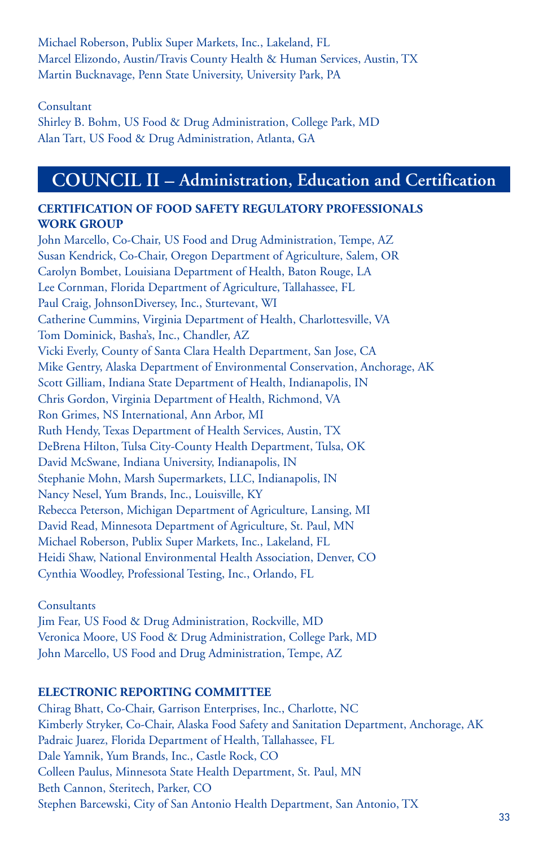Michael Roberson, Publix Super Markets, Inc., Lakeland, FL Marcel Elizondo, Austin/Travis County Health & Human Services, Austin, TX Martin Bucknavage, Penn State University, University Park, PA

## Consultant

Shirley B. Bohm, US Food & Drug Administration, College Park, MD Alan Tart, US Food & Drug Administration, Atlanta, GA

## **COUNCIL II – Administration, Education and Certification**

## **CERTIFICATION OF FOOD SAFETY REGULATORY PROFESSIONALS WORK GROUP**

John Marcello, Co-Chair, US Food and Drug Administration, Tempe, AZ Susan Kendrick, Co-Chair, Oregon Department of Agriculture, Salem, OR Carolyn Bombet, Louisiana Department of Health, Baton Rouge, LA Lee Cornman, Florida Department of Agriculture, Tallahassee, FL Paul Craig, JohnsonDiversey, Inc., Sturtevant, WI Catherine Cummins, Virginia Department of Health, Charlottesville, VA Tom Dominick, Basha's, Inc., Chandler, AZ Vicki Everly, County of Santa Clara Health Department, San Jose, CA Mike Gentry, Alaska Department of Environmental Conservation, Anchorage, AK Scott Gilliam, Indiana State Department of Health, Indianapolis, IN Chris Gordon, Virginia Department of Health, Richmond, VA Ron Grimes, NS International, Ann Arbor, MI Ruth Hendy, Texas Department of Health Services, Austin, TX DeBrena Hilton, Tulsa City-County Health Department, Tulsa, OK David McSwane, Indiana University, Indianapolis, IN Stephanie Mohn, Marsh Supermarkets, LLC, Indianapolis, IN Nancy Nesel, Yum Brands, Inc., Louisville, KY Rebecca Peterson, Michigan Department of Agriculture, Lansing, MI David Read, Minnesota Department of Agriculture, St. Paul, MN Michael Roberson, Publix Super Markets, Inc., Lakeland, FL Heidi Shaw, National Environmental Health Association, Denver, CO Cynthia Woodley, Professional Testing, Inc., Orlando, FL

## **Consultants**

Jim Fear, US Food & Drug Administration, Rockville, MD Veronica Moore, US Food & Drug Administration, College Park, MD John Marcello, US Food and Drug Administration, Tempe, AZ

## **ELECTRONIC REPORTING COMMITTEE**

Chirag Bhatt, Co-Chair, Garrison Enterprises, Inc., Charlotte, NC Kimberly Stryker, Co-Chair, Alaska Food Safety and Sanitation Department, Anchorage, AK Padraic Juarez, Florida Department of Health, Tallahassee, FL Dale Yamnik, Yum Brands, Inc., Castle Rock, CO Colleen Paulus, Minnesota State Health Department, St. Paul, MN Beth Cannon, Steritech, Parker, CO Stephen Barcewski, City of San Antonio Health Department, San Antonio, TX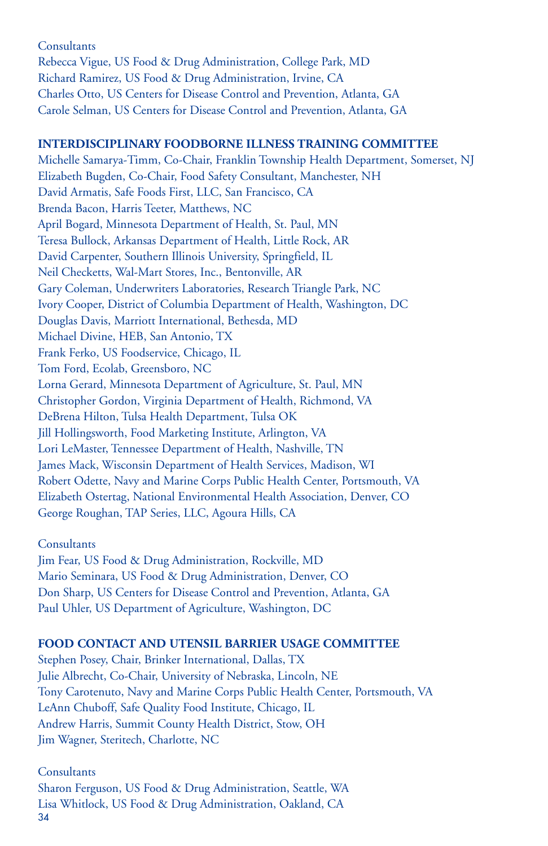**Consultants** Rebecca Vigue, US Food & Drug Administration, College Park, MD Richard Ramirez, US Food & Drug Administration, Irvine, CA Charles Otto, US Centers for Disease Control and Prevention, Atlanta, GA Carole Selman, US Centers for Disease Control and Prevention, Atlanta, GA

### **INTERDISCIPLINARY FOODBORNE ILLNESS TRAINING COMMITTEE**

Michelle Samarya-Timm, Co-Chair, Franklin Township Health Department, Somerset, NJ Elizabeth Bugden, Co-Chair, Food Safety Consultant, Manchester, NH David Armatis, Safe Foods First, LLC, San Francisco, CA Brenda Bacon, Harris Teeter, Matthews, NC April Bogard, Minnesota Department of Health, St. Paul, MN Teresa Bullock, Arkansas Department of Health, Little Rock, AR David Carpenter, Southern Illinois University, Springfield, IL Neil Checketts, Wal-Mart Stores, Inc., Bentonville, AR Gary Coleman, Underwriters Laboratories, Research Triangle Park, NC Ivory Cooper, District of Columbia Department of Health, Washington, DC Douglas Davis, Marriott International, Bethesda, MD Michael Divine, HEB, San Antonio, TX Frank Ferko, US Foodservice, Chicago, IL Tom Ford, Ecolab, Greensboro, NC Lorna Gerard, Minnesota Department of Agriculture, St. Paul, MN Christopher Gordon, Virginia Department of Health, Richmond, VA DeBrena Hilton, Tulsa Health Department, Tulsa OK Jill Hollingsworth, Food Marketing Institute, Arlington, VA Lori LeMaster, Tennessee Department of Health, Nashville, TN James Mack, Wisconsin Department of Health Services, Madison, WI Robert Odette, Navy and Marine Corps Public Health Center, Portsmouth, VA Elizabeth Ostertag, National Environmental Health Association, Denver, CO George Roughan, TAP Series, LLC, Agoura Hills, CA

**Consultants** 

Jim Fear, US Food & Drug Administration, Rockville, MD Mario Seminara, US Food & Drug Administration, Denver, CO Don Sharp, US Centers for Disease Control and Prevention, Atlanta, GA Paul Uhler, US Department of Agriculture, Washington, DC

### **FOOD CONTACT AND UTENSIL BARRIER USAGE COMMITTEE**

Stephen Posey, Chair, Brinker International, Dallas, TX Julie Albrecht, Co-Chair, University of Nebraska, Lincoln, NE Tony Carotenuto, Navy and Marine Corps Public Health Center, Portsmouth, VA LeAnn Chuboff, Safe Quality Food Institute, Chicago, IL Andrew Harris, Summit County Health District, Stow, OH Jim Wagner, Steritech, Charlotte, NC

34 **Consultants** Sharon Ferguson, US Food & Drug Administration, Seattle, WA Lisa Whitlock, US Food & Drug Administration, Oakland, CA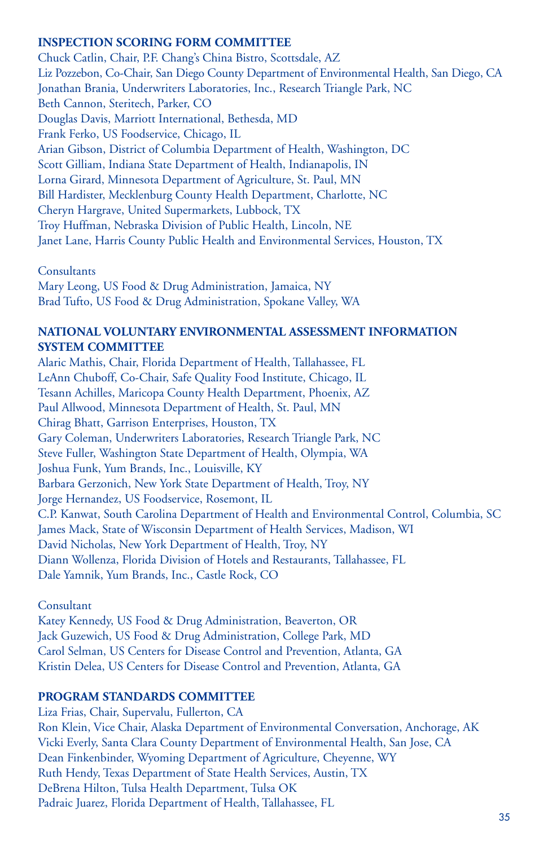## **INSPECTION SCORING FORM COMMITTEE**

Chuck Catlin, Chair, P.F. Chang's China Bistro, Scottsdale, AZ Liz Pozzebon, Co-Chair, San Diego County Department of Environmental Health, San Diego, CA Jonathan Brania, Underwriters Laboratories, Inc., Research Triangle Park, NC Beth Cannon, Steritech, Parker, CO Douglas Davis, Marriott International, Bethesda, MD Frank Ferko, US Foodservice, Chicago, IL Arian Gibson, District of Columbia Department of Health, Washington, DC Scott Gilliam, Indiana State Department of Health, Indianapolis, IN Lorna Girard, Minnesota Department of Agriculture, St. Paul, MN Bill Hardister, Mecklenburg County Health Department, Charlotte, NC Cheryn Hargrave, United Supermarkets, Lubbock, TX Troy Huffman, Nebraska Division of Public Health, Lincoln, NE Janet Lane, Harris County Public Health and Environmental Services, Houston, TX

## **Consultants**

Mary Leong, US Food & Drug Administration, Jamaica, NY Brad Tufto, US Food & Drug Administration, Spokane Valley, WA

## **NATIONAL VOLUNTARY ENVIRONMENTAL ASSESSMENT INFORMATION SYSTEM COMMITTEE**

Alaric Mathis, Chair, Florida Department of Health, Tallahassee, FL LeAnn Chuboff, Co-Chair, Safe Quality Food Institute, Chicago, IL Tesann Achilles, Maricopa County Health Department, Phoenix, AZ Paul Allwood, Minnesota Department of Health, St. Paul, MN Chirag Bhatt, Garrison Enterprises, Houston, TX Gary Coleman, Underwriters Laboratories, Research Triangle Park, NC Steve Fuller, Washington State Department of Health, Olympia, WA Joshua Funk, Yum Brands, Inc., Louisville, KY Barbara Gerzonich, New York State Department of Health, Troy, NY Jorge Hernandez, US Foodservice, Rosemont, IL C.P. Kanwat, South Carolina Department of Health and Environmental Control, Columbia, SC James Mack, State of Wisconsin Department of Health Services, Madison, WI David Nicholas, New York Department of Health, Troy, NY Diann Wollenza, Florida Division of Hotels and Restaurants, Tallahassee, FL Dale Yamnik, Yum Brands, Inc., Castle Rock, CO

## Consultant

Katey Kennedy, US Food & Drug Administration, Beaverton, OR Jack Guzewich, US Food & Drug Administration, College Park, MD Carol Selman, US Centers for Disease Control and Prevention, Atlanta, GA Kristin Delea, US Centers for Disease Control and Prevention, Atlanta, GA

## **PROGRAM STANDARDS COMMITTEE**

Liza Frias, Chair, Supervalu, Fullerton, CA Ron Klein, Vice Chair, Alaska Department of Environmental Conversation, Anchorage, AK Vicki Everly, Santa Clara County Department of Environmental Health, San Jose, CA Dean Finkenbinder, Wyoming Department of Agriculture, Cheyenne, WY Ruth Hendy, Texas Department of State Health Services, Austin, TX DeBrena Hilton, Tulsa Health Department, Tulsa OK Padraic Juarez, Florida Department of Health, Tallahassee, FL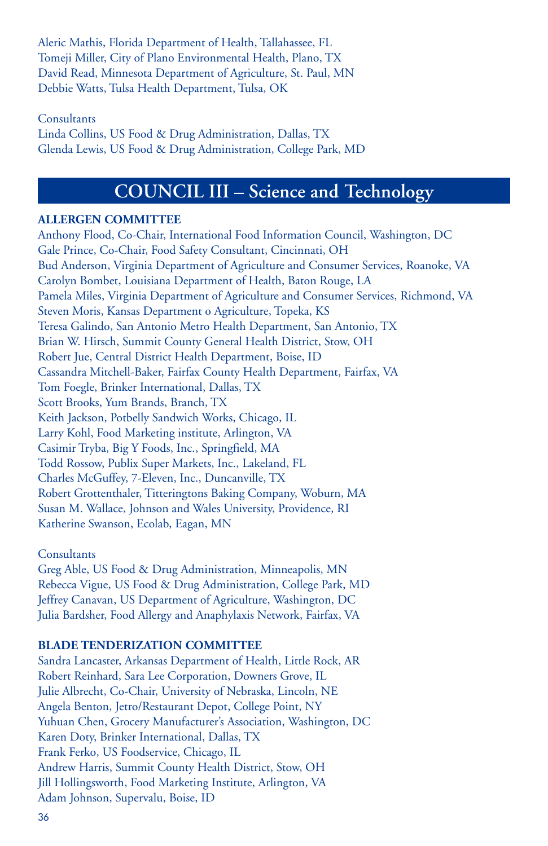Aleric Mathis, Florida Department of Health, Tallahassee, FL Tomeji Miller, City of Plano Environmental Health, Plano, TX David Read, Minnesota Department of Agriculture, St. Paul, MN Debbie Watts, Tulsa Health Department, Tulsa, OK

**Consultants** 

Linda Collins, US Food & Drug Administration, Dallas, TX Glenda Lewis, US Food & Drug Administration, College Park, MD

## **COUNCIL III – Science and Technology**

## **ALLERGEN COMMITTEE**

Anthony Flood, Co-Chair, International Food Information Council, Washington, DC Gale Prince, Co-Chair, Food Safety Consultant, Cincinnati, OH Bud Anderson, Virginia Department of Agriculture and Consumer Services, Roanoke, VA Carolyn Bombet, Louisiana Department of Health, Baton Rouge, LA Pamela Miles, Virginia Department of Agriculture and Consumer Services, Richmond, VA Steven Moris, Kansas Department o Agriculture, Topeka, KS Teresa Galindo, San Antonio Metro Health Department, San Antonio, TX Brian W. Hirsch, Summit County General Health District, Stow, OH Robert Jue, Central District Health Department, Boise, ID Cassandra Mitchell-Baker, Fairfax County Health Department, Fairfax, VA Tom Foegle, Brinker International, Dallas, TX Scott Brooks, Yum Brands, Branch, TX Keith Jackson, Potbelly Sandwich Works, Chicago, IL Larry Kohl, Food Marketing institute, Arlington, VA Casimir Tryba, Big Y Foods, Inc., Springfield, MA Todd Rossow, Publix Super Markets, Inc., Lakeland, FL Charles McGuffey, 7-Eleven, Inc., Duncanville, TX Robert Grottenthaler, Titteringtons Baking Company, Woburn, MA Susan M. Wallace, Johnson and Wales University, Providence, RI Katherine Swanson, Ecolab, Eagan, MN

## **Consultants**

Greg Able, US Food & Drug Administration, Minneapolis, MN Rebecca Vigue, US Food & Drug Administration, College Park, MD Jeffrey Canavan, US Department of Agriculture, Washington, DC Julia Bardsher, Food Allergy and Anaphylaxis Network, Fairfax, VA

## **BLADE TENDERIZATION COMMITTEE**

Sandra Lancaster, Arkansas Department of Health, Little Rock, AR Robert Reinhard, Sara Lee Corporation, Downers Grove, IL Julie Albrecht, Co-Chair, University of Nebraska, Lincoln, NE Angela Benton, Jetro/Restaurant Depot, College Point, NY Yuhuan Chen, Grocery Manufacturer's Association, Washington, DC Karen Doty, Brinker International, Dallas, TX Frank Ferko, US Foodservice, Chicago, IL Andrew Harris, Summit County Health District, Stow, OH Jill Hollingsworth, Food Marketing Institute, Arlington, VA Adam Johnson, Supervalu, Boise, ID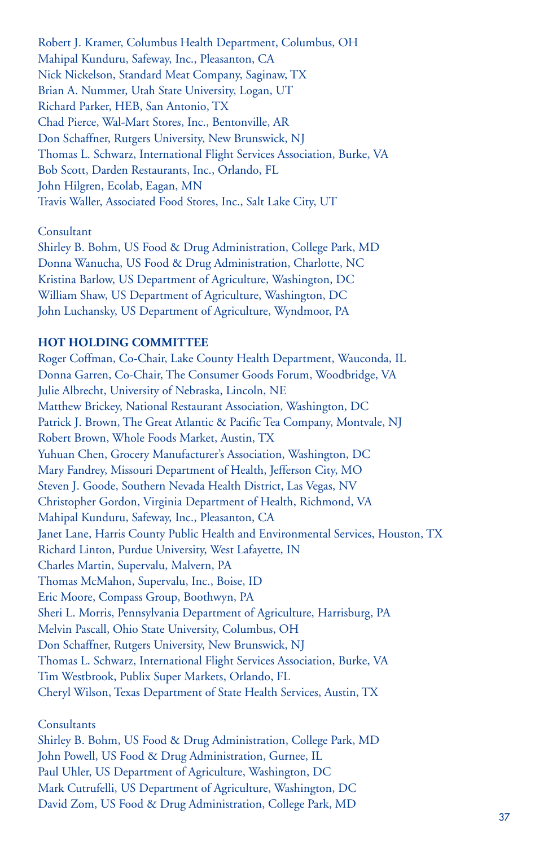Robert J. Kramer, Columbus Health Department, Columbus, OH Mahipal Kunduru, Safeway, Inc., Pleasanton, CA Nick Nickelson, Standard Meat Company, Saginaw, TX Brian A. Nummer, Utah State University, Logan, UT Richard Parker, HEB, San Antonio, TX Chad Pierce, Wal-Mart Stores, Inc., Bentonville, AR Don Schaffner, Rutgers University, New Brunswick, NJ Thomas L. Schwarz, International Flight Services Association, Burke, VA Bob Scott, Darden Restaurants, Inc., Orlando, FL John Hilgren, Ecolab, Eagan, MN Travis Waller, Associated Food Stores, Inc., Salt Lake City, UT

## Consultant

Shirley B. Bohm, US Food & Drug Administration, College Park, MD Donna Wanucha, US Food & Drug Administration, Charlotte, NC Kristina Barlow, US Department of Agriculture, Washington, DC William Shaw, US Department of Agriculture, Washington, DC John Luchansky, US Department of Agriculture, Wyndmoor, PA

## **HOT HOLDING COMMITTEE**

Roger Coffman, Co-Chair, Lake County Health Department, Wauconda, IL Donna Garren, Co-Chair, The Consumer Goods Forum, Woodbridge, VA Julie Albrecht, University of Nebraska, Lincoln, NE Matthew Brickey, National Restaurant Association, Washington, DC Patrick J. Brown, The Great Atlantic & Pacific Tea Company, Montvale, NJ Robert Brown, Whole Foods Market, Austin, TX Yuhuan Chen, Grocery Manufacturer's Association, Washington, DC Mary Fandrey, Missouri Department of Health, Jefferson City, MO Steven J. Goode, Southern Nevada Health District, Las Vegas, NV Christopher Gordon, Virginia Department of Health, Richmond, VA Mahipal Kunduru, Safeway, Inc., Pleasanton, CA Janet Lane, Harris County Public Health and Environmental Services, Houston, TX Richard Linton, Purdue University, West Lafayette, IN Charles Martin, Supervalu, Malvern, PA Thomas McMahon, Supervalu, Inc., Boise, ID Eric Moore, Compass Group, Boothwyn, PA Sheri L. Morris, Pennsylvania Department of Agriculture, Harrisburg, PA Melvin Pascall, Ohio State University, Columbus, OH Don Schaffner, Rutgers University, New Brunswick, NJ Thomas L. Schwarz, International Flight Services Association, Burke, VA Tim Westbrook, Publix Super Markets, Orlando, FL Cheryl Wilson, Texas Department of State Health Services, Austin, TX

### **Consultants**

Shirley B. Bohm, US Food & Drug Administration, College Park, MD John Powell, US Food & Drug Administration, Gurnee, IL Paul Uhler, US Department of Agriculture, Washington, DC Mark Cutrufelli, US Department of Agriculture, Washington, DC David Zom, US Food & Drug Administration, College Park, MD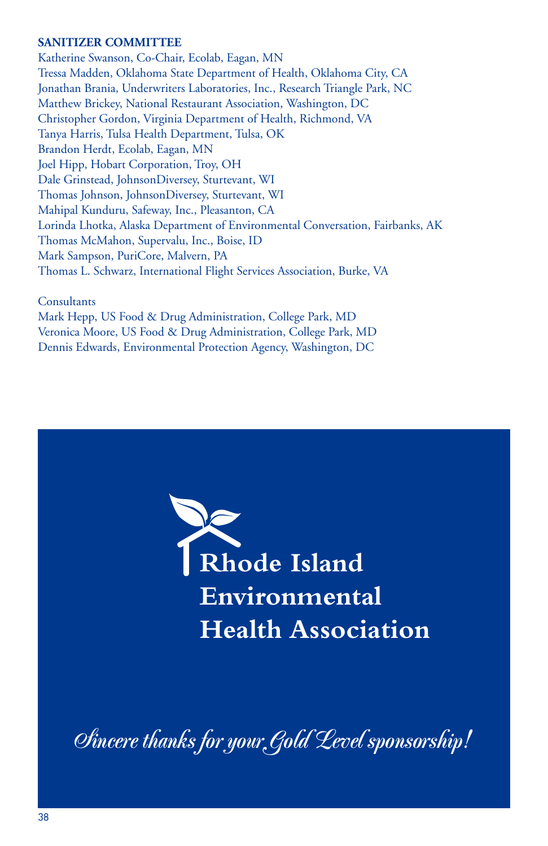## **SANITIZER COMMITTEE**

Katherine Swanson, Co-Chair, Ecolab, Eagan, MN Tressa Madden, Oklahoma State Department of Health, Oklahoma City, CA Jonathan Brania, Underwriters Laboratories, Inc., Research Triangle Park, NC Matthew Brickey, National Restaurant Association, Washington, DC Christopher Gordon, Virginia Department of Health, Richmond, VA Tanya Harris, Tulsa Health Department, Tulsa, OK Brandon Herdt, Ecolab, Eagan, MN Joel Hipp, Hobart Corporation, Troy, OH Dale Grinstead, JohnsonDiversey, Sturtevant, WI Thomas Johnson, JohnsonDiversey, Sturtevant, WI Mahipal Kunduru, Safeway, Inc., Pleasanton, CA Lorinda Lhotka, Alaska Department of Environmental Conversation, Fairbanks, AK Thomas McMahon, Supervalu, Inc., Boise, ID Mark Sampson, PuriCore, Malvern, PA Thomas L. Schwarz, International Flight Services Association, Burke, VA

## **Consultants**

Mark Hepp, US Food & Drug Administration, College Park, MD Veronica Moore, US Food & Drug Administration, College Park, MD Dennis Edwards, Environmental Protection Agency, Washington, DC



 $^\circ$ *Sincere thanks for your Gold Level sponsorship!*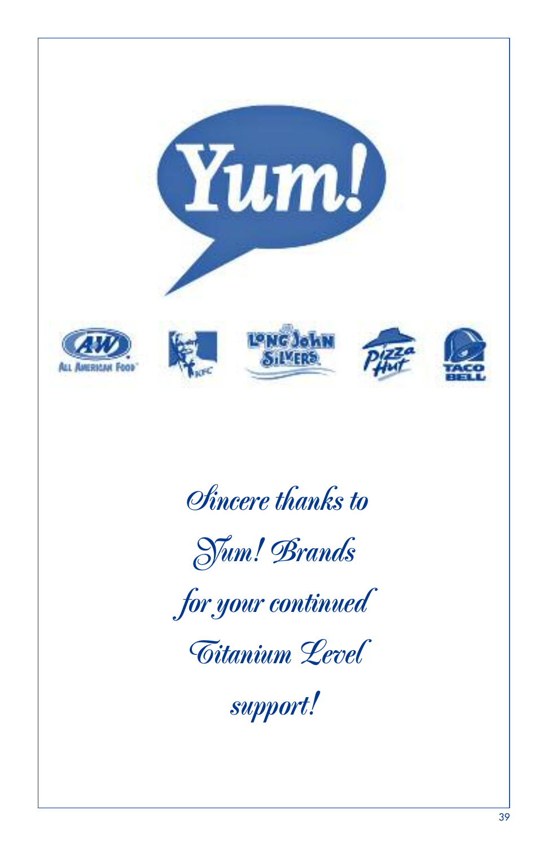

*Sincere thanks to Yum! Brands for your continued Titanium Level*

*support!*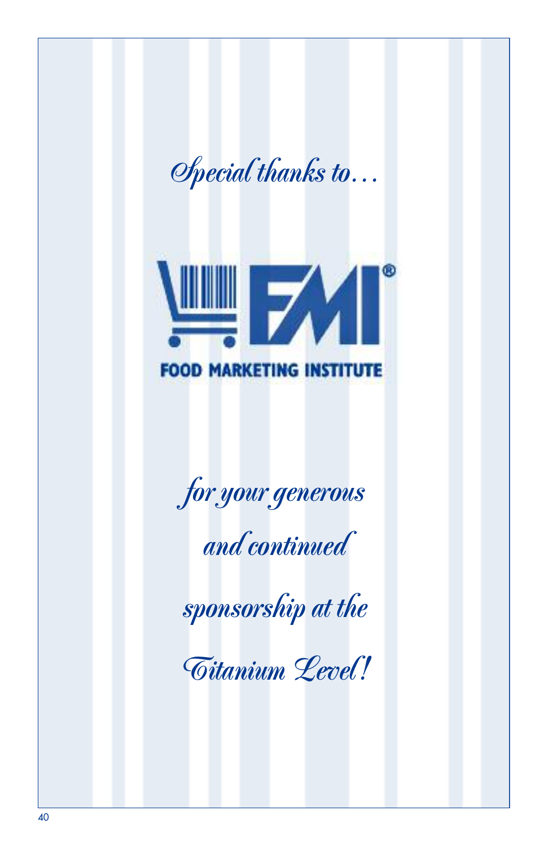## *Special thanks to…*



*for your generous*

*and continued*

*sponsorship at the*

*Titanium Level!*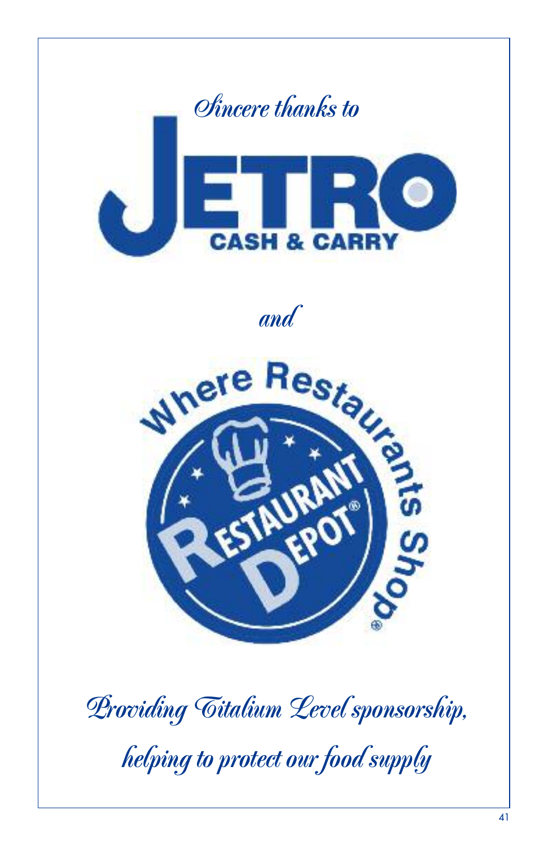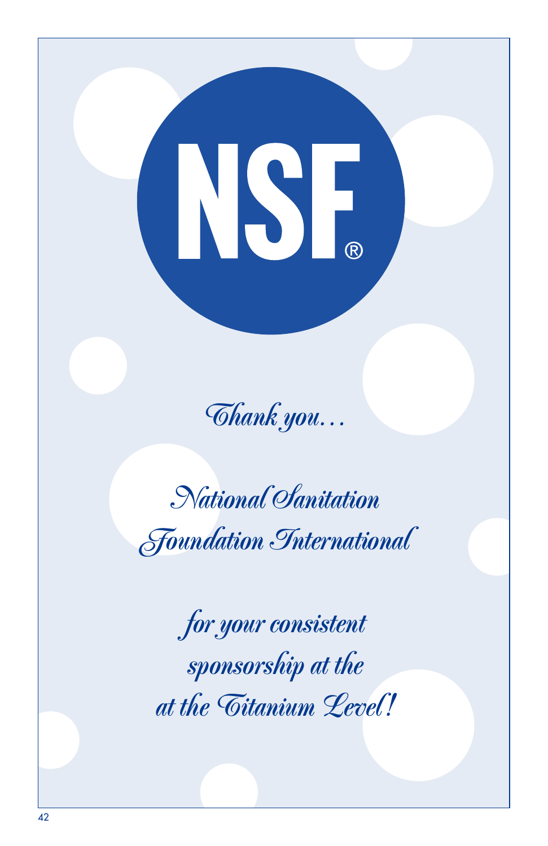

NST.

*Thank you…*

*National Sanitation Foundation International*

*for your consistent sponsorship at the at the Titanium Level!*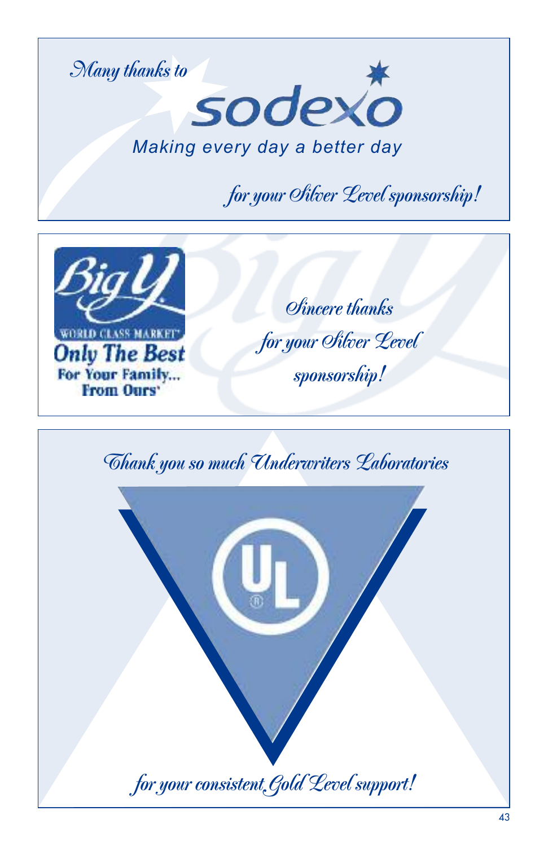

**WORLD CLASS MARKET Only The Best** For Your Family... From On

*Sincere thanks for your Silver Level sponsorship!*

*Thank you so much Underwriters Laboratories*

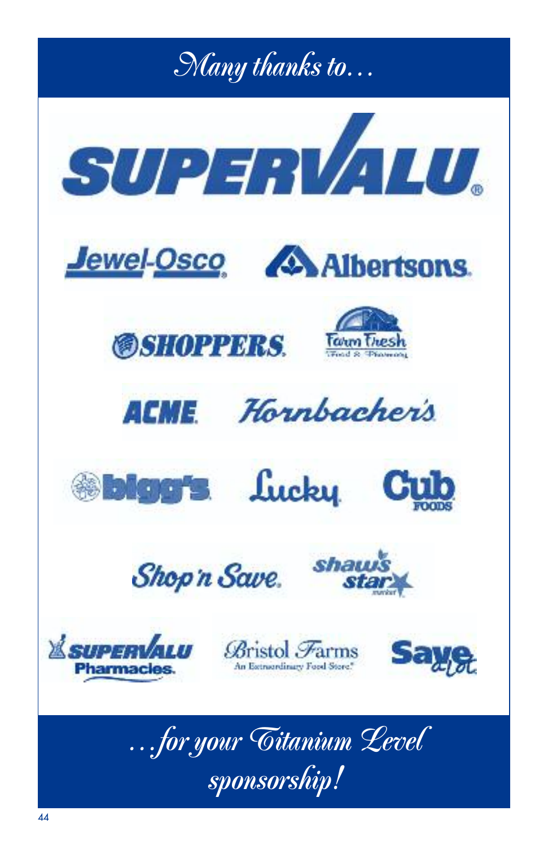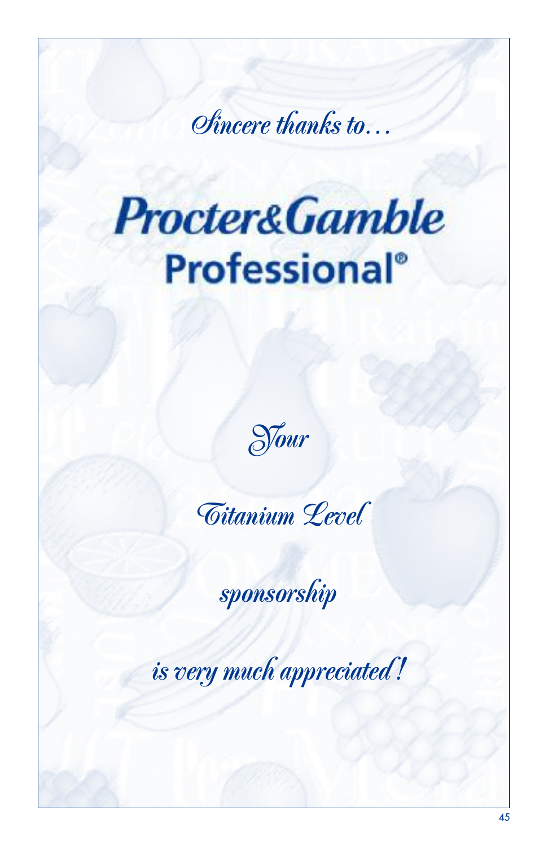*Sincere thanks to…*

## **Procter&Gamble Professional<sup>®</sup>**





## *sponsorship*

*is very much appreciated !*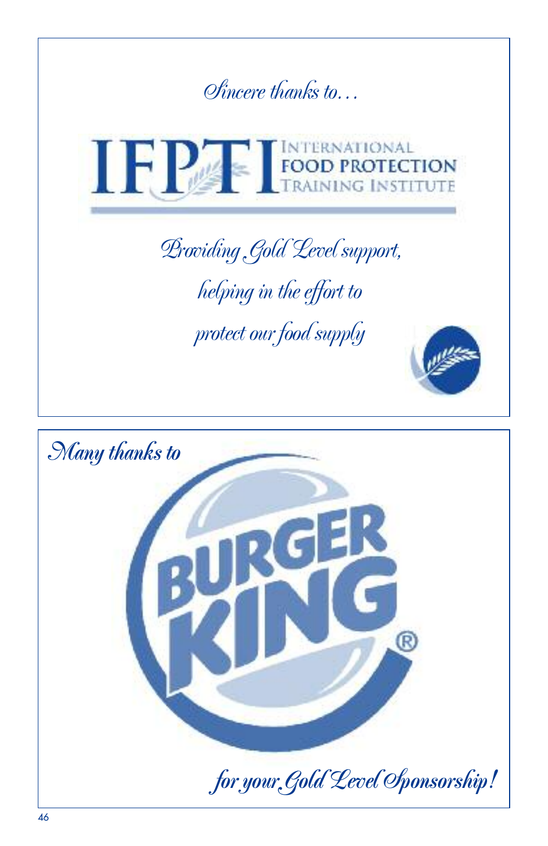## *Sincere thanks to…*



*Providing Gold Level support, helping in the effort to protect our food supply*



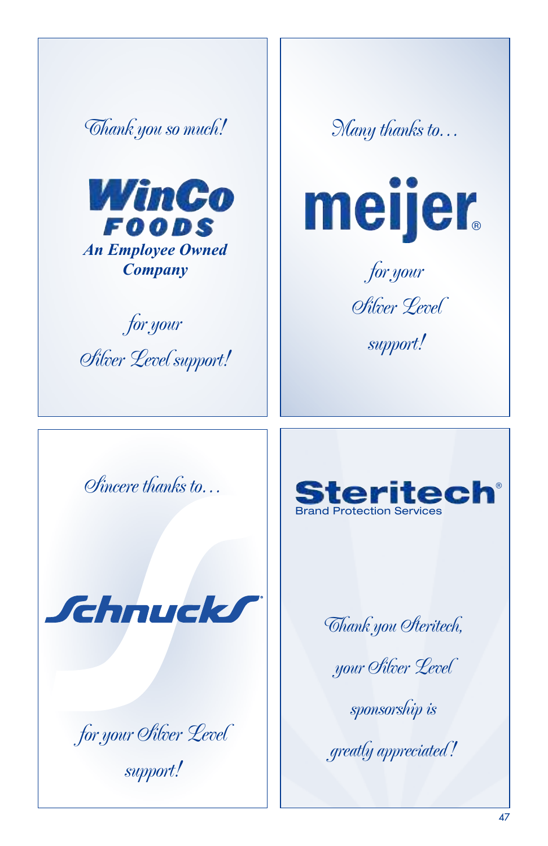

*Silver Level support!*

*Many thanks to…*

meljer *for your*

*Silver Level*

*support!*

*Sincere thanks to…*





*for your Silver Level support!*

*Thank you Steritech,*

*your Silver Level*

*sponsorshipis*

*greatly appreciated !*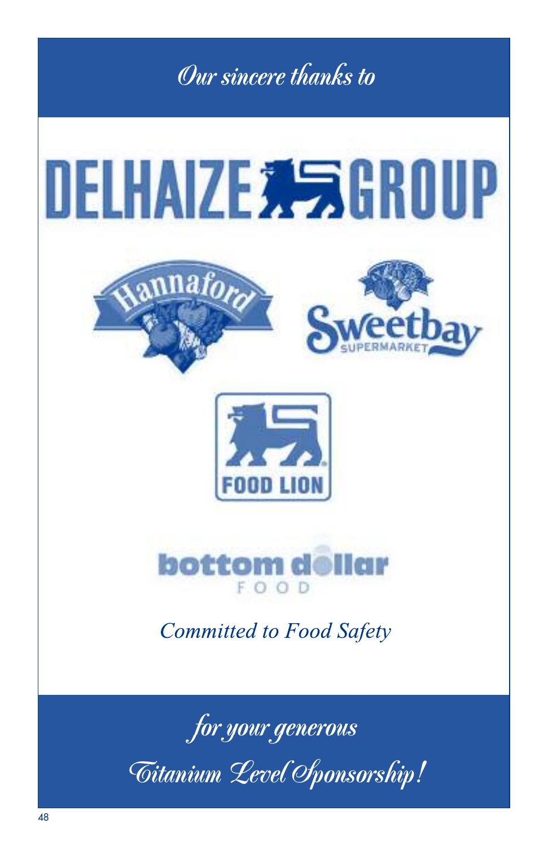## *Our sincere thanks to*

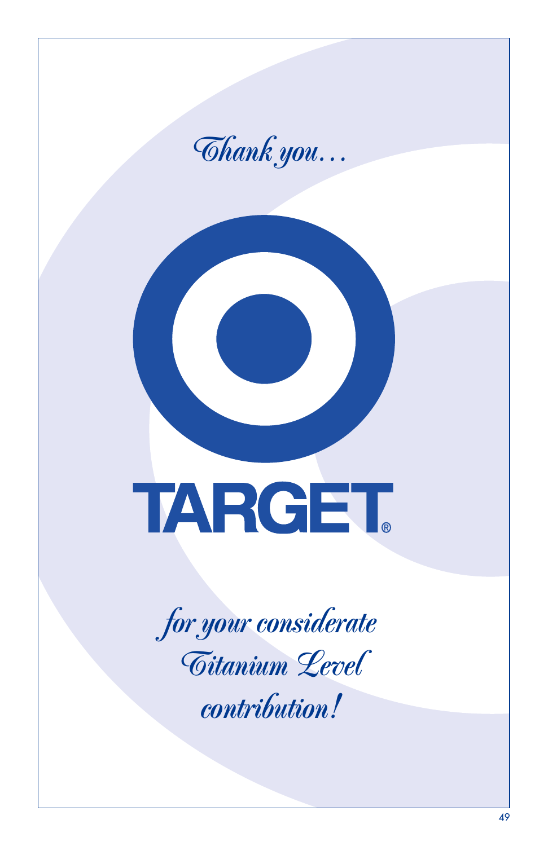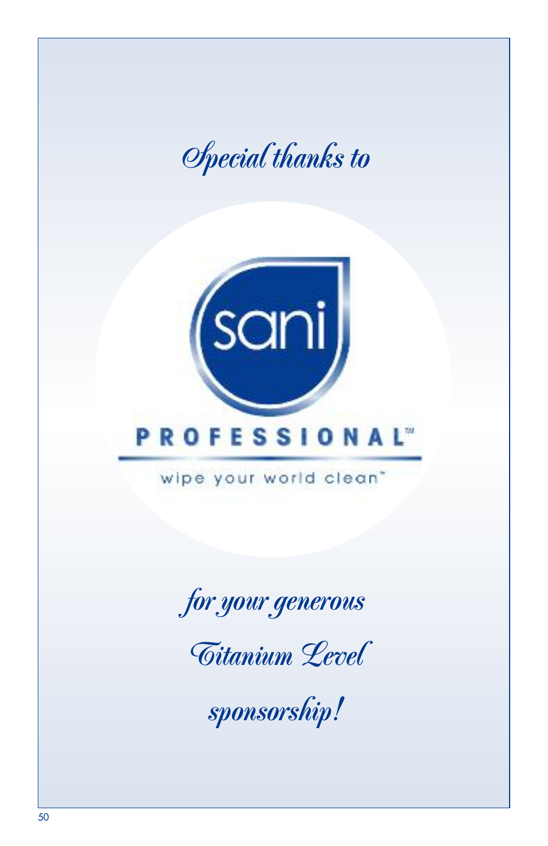



## **PROFESSIO**

wipe your world clean"

*for your generous*

*Titanium Level*

*sponsorship!*